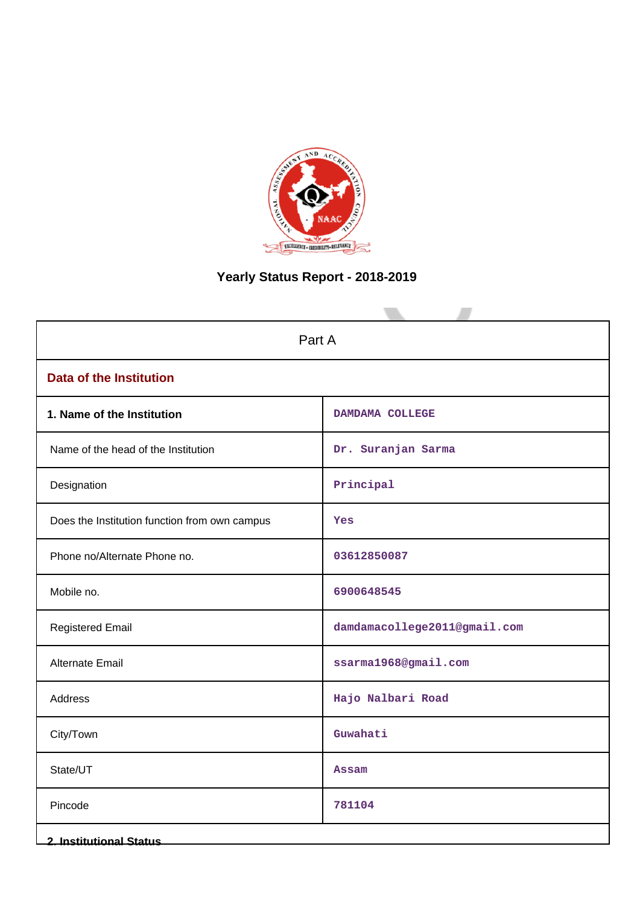

# **Yearly Status Report - 2018-2019**

| Part A                                        |                              |  |  |  |  |  |  |
|-----------------------------------------------|------------------------------|--|--|--|--|--|--|
| <b>Data of the Institution</b>                |                              |  |  |  |  |  |  |
| 1. Name of the Institution                    | DAMDAMA COLLEGE              |  |  |  |  |  |  |
| Name of the head of the Institution           | Dr. Suranjan Sarma           |  |  |  |  |  |  |
| Designation                                   | Principal                    |  |  |  |  |  |  |
| Does the Institution function from own campus | Yes                          |  |  |  |  |  |  |
| Phone no/Alternate Phone no.                  | 03612850087                  |  |  |  |  |  |  |
| Mobile no.                                    | 6900648545                   |  |  |  |  |  |  |
| <b>Registered Email</b>                       | damdamacollege2011@gmail.com |  |  |  |  |  |  |
| <b>Alternate Email</b>                        | ssarma1968@gmail.com         |  |  |  |  |  |  |
| Address                                       | Hajo Nalbari Road            |  |  |  |  |  |  |
| City/Town                                     | Guwahati                     |  |  |  |  |  |  |
| State/UT                                      | <b>Assam</b>                 |  |  |  |  |  |  |
| Pincode                                       | 781104                       |  |  |  |  |  |  |
| <b>2. Institutional Status</b>                |                              |  |  |  |  |  |  |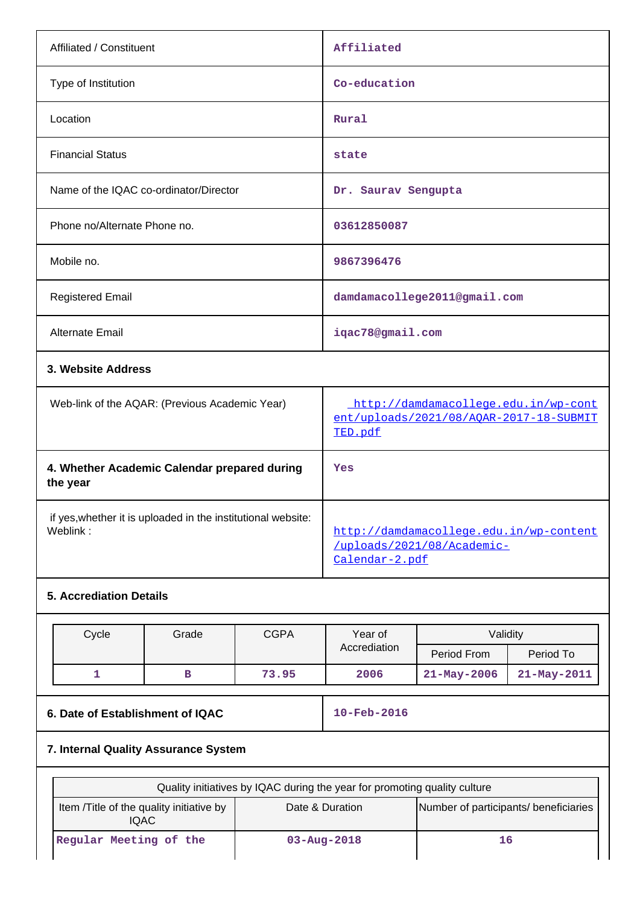| Affiliated / Constituent                       | Affiliated                                                                      |
|------------------------------------------------|---------------------------------------------------------------------------------|
| Type of Institution                            | Co-education                                                                    |
| Location                                       | Rural                                                                           |
| <b>Financial Status</b>                        | state                                                                           |
| Name of the IQAC co-ordinator/Director         | Dr. Saurav Sengupta                                                             |
| Phone no/Alternate Phone no.                   | 03612850087                                                                     |
| Mobile no.                                     | 9867396476                                                                      |
| <b>Registered Email</b>                        | damdamacollege2011@gmail.com                                                    |
| <b>Alternate Email</b>                         | iqac78@gmail.com                                                                |
| 3. Website Address                             |                                                                                 |
| Web-link of the AQAR: (Previous Academic Year) | http://damdamacollege.edu.in/wp-cont<br>ent/uploads/2021/08/AOAR-2017-18-SUBMIT |

| Weblink: | http://damdamacollege.edu.in/wp-content |
|----------|-----------------------------------------|
|          | /uploads/2021/08/Academic-              |
|          | <u>Calendar-2.pdf</u>                   |
|          |                                         |

if yes,whether it is uploaded in the institutional website:

**4. Whether Academic Calendar prepared during**

# **5. Accrediation Details**

**the year**

| Cycle | Grade         | <b>CGPA</b> | Year of      | Validity          |                   |  |  |
|-------|---------------|-------------|--------------|-------------------|-------------------|--|--|
|       |               |             | Accrediation | Period From       | Period To         |  |  |
|       | 73.95<br>2006 |             |              | $21 - May - 2006$ | $21 - May - 2011$ |  |  |

# **6. Date of Establishment of IQAC** 10-Feb-2016

[TED.pdf](http://damdamacollege.edu.in/wp-content/uploads/2021/08/AQAR-2017-18-SUBMITTED.pdf)

**Yes**

## **7. Internal Quality Assurance System**

| Quality initiatives by IQAC during the year for promoting quality culture |                                                          |    |  |  |  |  |  |
|---------------------------------------------------------------------------|----------------------------------------------------------|----|--|--|--|--|--|
| Item /Title of the quality initiative by<br><b>IQAC</b>                   | Number of participants/ beneficiaries<br>Date & Duration |    |  |  |  |  |  |
| Regular Meeting of the                                                    | $03 - Aug - 2018$                                        | 16 |  |  |  |  |  |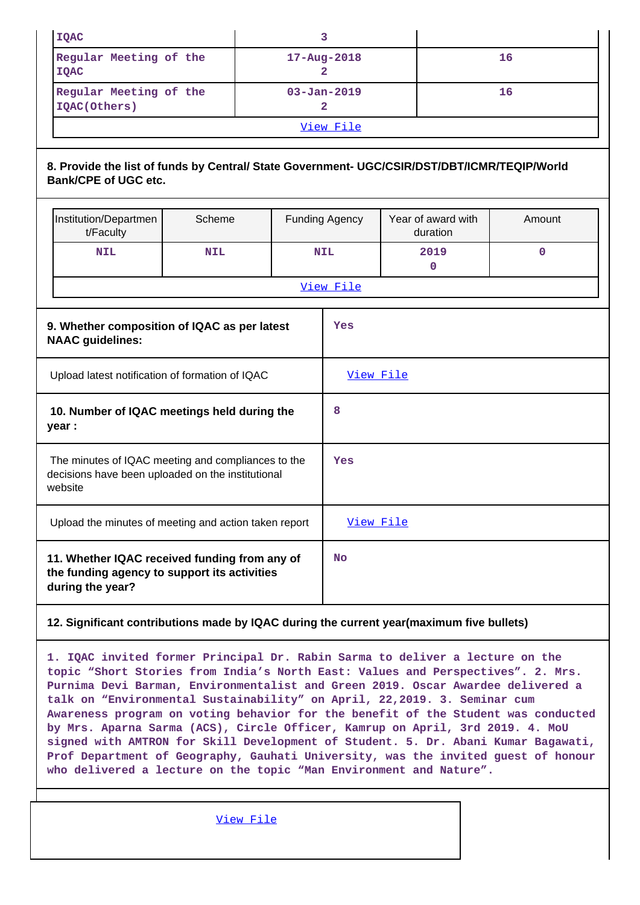| <b>IQAC</b> |                                                                                                                             |            |  |  | 3                            |  |                                |             |  |
|-------------|-----------------------------------------------------------------------------------------------------------------------------|------------|--|--|------------------------------|--|--------------------------------|-------------|--|
|             | Regular Meeting of the<br><b>IQAC</b>                                                                                       |            |  |  | 16<br>$17 - Aug - 2018$<br>2 |  |                                |             |  |
|             | Regular Meeting of the<br>IQAC(Others)                                                                                      |            |  |  | $03 - Jan - 2019$<br>2       |  |                                | 16          |  |
|             |                                                                                                                             |            |  |  | View File                    |  |                                |             |  |
|             | 8. Provide the list of funds by Central/ State Government- UGC/CSIR/DST/DBT/ICMR/TEQIP/World<br><b>Bank/CPE of UGC etc.</b> |            |  |  |                              |  |                                |             |  |
|             | Institution/Departmen<br>t/Faculty                                                                                          | Scheme     |  |  | <b>Funding Agency</b>        |  | Year of award with<br>duration | Amount      |  |
|             | <b>NIL</b>                                                                                                                  | <b>NIL</b> |  |  | <b>NIL</b>                   |  | 2019<br>$\mathbf{0}$           | $\mathbf 0$ |  |
|             |                                                                                                                             |            |  |  | View File                    |  |                                |             |  |
|             | 9. Whether composition of IQAC as per latest<br><b>NAAC</b> guidelines:                                                     |            |  |  | Yes                          |  |                                |             |  |
|             | Upload latest notification of formation of IQAC                                                                             |            |  |  | View File                    |  |                                |             |  |
|             | 10. Number of IQAC meetings held during the<br>year :                                                                       |            |  |  | 8                            |  |                                |             |  |
|             | The minutes of IQAC meeting and compliances to the<br>decisions have been uploaded on the institutional<br>website          |            |  |  | Yes                          |  |                                |             |  |
|             | Upload the minutes of meeting and action taken report                                                                       |            |  |  | View File                    |  |                                |             |  |
|             | 11. Whether IQAC received funding from any of<br>the funding agency to support its activities<br>during the year?           |            |  |  | <b>No</b>                    |  |                                |             |  |

## **12. Significant contributions made by IQAC during the current year(maximum five bullets)**

**1. IQAC invited former Principal Dr. Rabin Sarma to deliver a lecture on the topic "Short Stories from India's North East: Values and Perspectives". 2. Mrs. Purnima Devi Barman, Environmentalist and Green 2019. Oscar Awardee delivered a talk on "Environmental Sustainability" on April, 22,2019. 3. Seminar cum Awareness program on voting behavior for the benefit of the Student was conducted by Mrs. Aparna Sarma (ACS), Circle Officer, Kamrup on April, 3rd 2019. 4. MoU signed with AMTRON for Skill Development of Student. 5. Dr. Abani Kumar Bagawati, Prof Department of Geography, Gauhati University, was the invited guest of honour who delivered a lecture on the topic "Man Environment and Nature".**

[View File](https://assessmentonline.naac.gov.in/public/Postacc/Contribution/13370_Contribution.xlsx)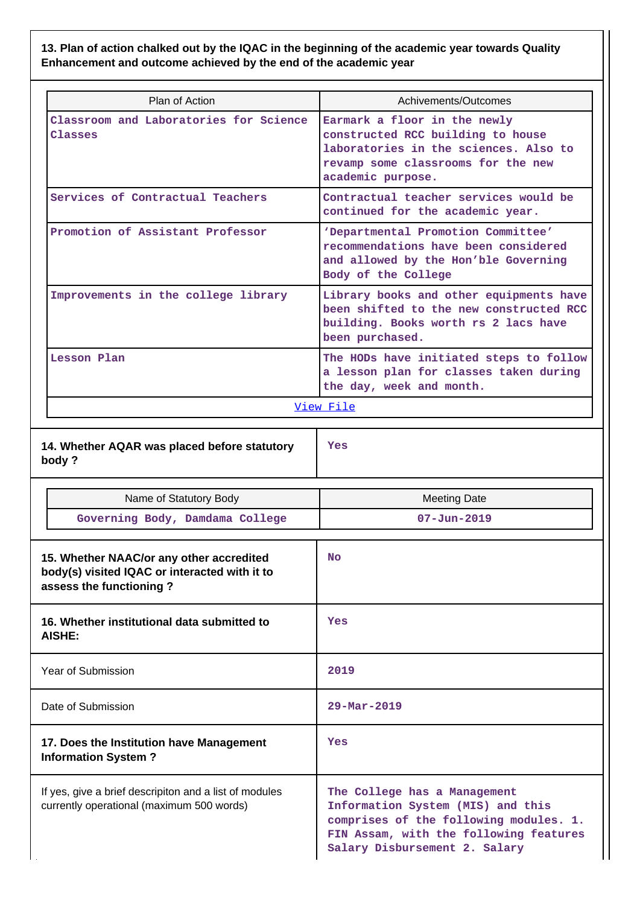**13. Plan of action chalked out by the IQAC in the beginning of the academic year towards Quality Enhancement and outcome achieved by the end of the academic year**

| Plan of Action                                                                                                       | Achivements/Outcomes                                                                                                                                                  |
|----------------------------------------------------------------------------------------------------------------------|-----------------------------------------------------------------------------------------------------------------------------------------------------------------------|
| Classroom and Laboratories for Science<br>Classes                                                                    | Earmark a floor in the newly<br>constructed RCC building to house<br>laboratories in the sciences. Also to<br>revamp some classrooms for the new<br>academic purpose. |
| Services of Contractual Teachers                                                                                     | Contractual teacher services would be<br>continued for the academic year.                                                                                             |
| Promotion of Assistant Professor                                                                                     | 'Departmental Promotion Committee'<br>recommendations have been considered<br>and allowed by the Hon'ble Governing<br>Body of the College                             |
| Improvements in the college library                                                                                  | Library books and other equipments have<br>been shifted to the new constructed RCC<br>building. Books worth rs 2 lacs have<br>been purchased.                         |
| Lesson Plan                                                                                                          | The HODs have initiated steps to follow<br>a lesson plan for classes taken during<br>the day, week and month.                                                         |
|                                                                                                                      | View File                                                                                                                                                             |
| 14. Whether AQAR was placed before statutory<br>body?                                                                | Yes                                                                                                                                                                   |
|                                                                                                                      |                                                                                                                                                                       |
| Name of Statutory Body                                                                                               | <b>Meeting Date</b>                                                                                                                                                   |
| Governing Body, Damdama College                                                                                      | $07 - Jun - 2019$                                                                                                                                                     |
| 15. Whether NAAC/or any other accredited<br>body(s) visited IQAC or interacted with it to<br>assess the functioning? | <b>No</b>                                                                                                                                                             |
| 16. Whether institutional data submitted to<br>AISHE:                                                                | Yes                                                                                                                                                                   |
| <b>Year of Submission</b>                                                                                            | 2019                                                                                                                                                                  |
| Date of Submission                                                                                                   | 29-Mar-2019                                                                                                                                                           |
| 17. Does the Institution have Management<br><b>Information System?</b>                                               | Yes                                                                                                                                                                   |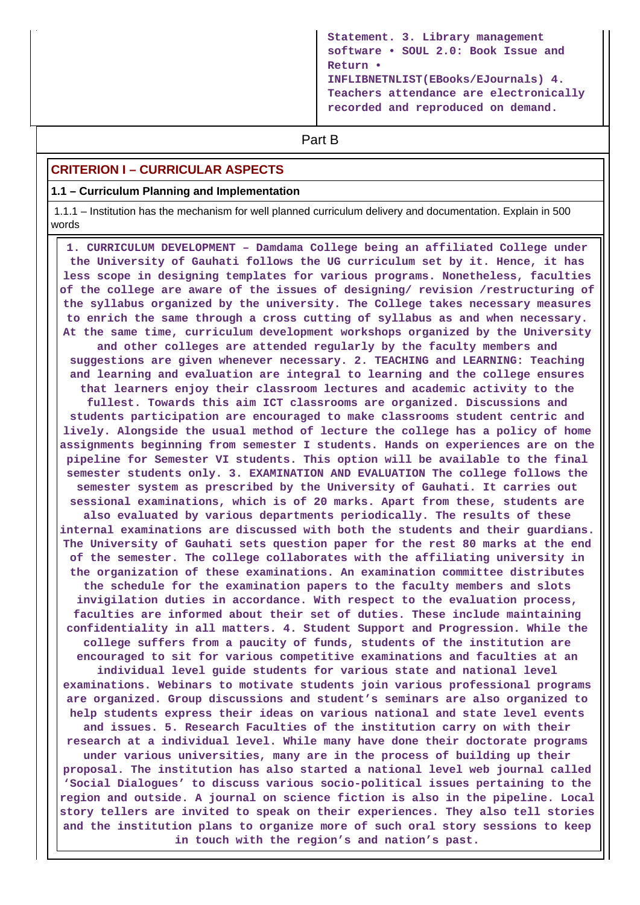```
Statement. 3. Library management
software • SOUL 2.0: Book Issue and
Return •
INFLIBNETNLIST(EBooks/EJournals) 4.
Teachers attendance are electronically
recorded and reproduced on demand.
```
# **Part B**

## **CRITERION I – CURRICULAR ASPECTS**

#### **1.1 – Curriculum Planning and Implementation**

 1.1.1 – Institution has the mechanism for well planned curriculum delivery and documentation. Explain in 500 words

 **1. CURRICULUM DEVELOPMENT – Damdama College being an affiliated College under the University of Gauhati follows the UG curriculum set by it. Hence, it has less scope in designing templates for various programs. Nonetheless, faculties of the college are aware of the issues of designing/ revision /restructuring of the syllabus organized by the university. The College takes necessary measures to enrich the same through a cross cutting of syllabus as and when necessary. At the same time, curriculum development workshops organized by the University and other colleges are attended regularly by the faculty members and suggestions are given whenever necessary. 2. TEACHING and LEARNING: Teaching and learning and evaluation are integral to learning and the college ensures that learners enjoy their classroom lectures and academic activity to the fullest. Towards this aim ICT classrooms are organized. Discussions and students participation are encouraged to make classrooms student centric and lively. Alongside the usual method of lecture the college has a policy of home assignments beginning from semester I students. Hands on experiences are on the pipeline for Semester VI students. This option will be available to the final semester students only. 3. EXAMINATION AND EVALUATION The college follows the semester system as prescribed by the University of Gauhati. It carries out sessional examinations, which is of 20 marks. Apart from these, students are also evaluated by various departments periodically. The results of these internal examinations are discussed with both the students and their guardians. The University of Gauhati sets question paper for the rest 80 marks at the end of the semester. The college collaborates with the affiliating university in the organization of these examinations. An examination committee distributes the schedule for the examination papers to the faculty members and slots invigilation duties in accordance. With respect to the evaluation process, faculties are informed about their set of duties. These include maintaining confidentiality in all matters. 4. Student Support and Progression. While the college suffers from a paucity of funds, students of the institution are encouraged to sit for various competitive examinations and faculties at an individual level guide students for various state and national level examinations. Webinars to motivate students join various professional programs are organized. Group discussions and student's seminars are also organized to help students express their ideas on various national and state level events and issues. 5. Research Faculties of the institution carry on with their research at a individual level. While many have done their doctorate programs under various universities, many are in the process of building up their proposal. The institution has also started a national level web journal called 'Social Dialogues' to discuss various socio-political issues pertaining to the region and outside. A journal on science fiction is also in the pipeline. Local story tellers are invited to speak on their experiences. They also tell stories and the institution plans to organize more of such oral story sessions to keep in touch with the region's and nation's past.**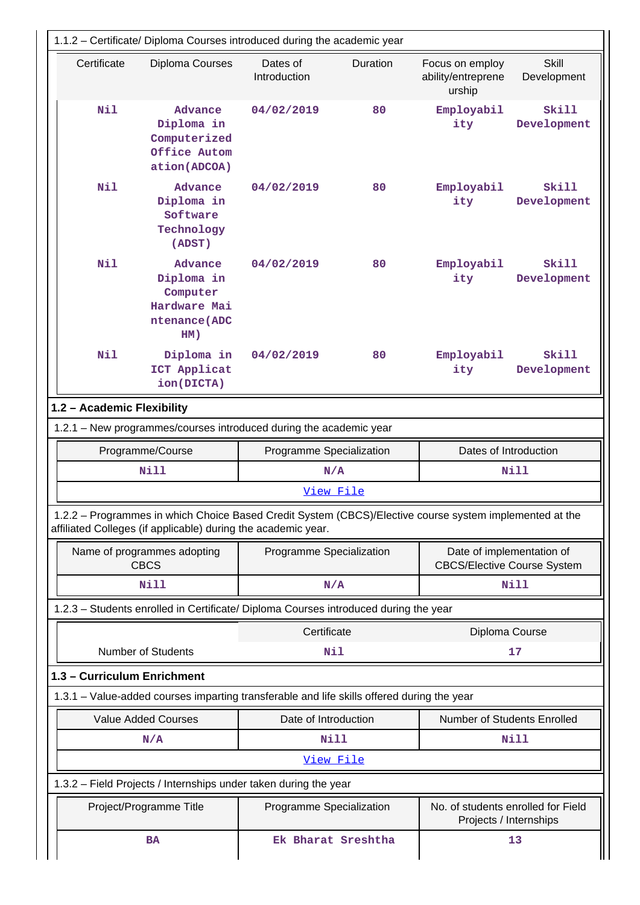|                             | 1.1.2 - Certificate/ Diploma Courses introduced during the academic year                                                                                                 |                                                                       |          |                                                              |                             |  |  |  |  |  |  |
|-----------------------------|--------------------------------------------------------------------------------------------------------------------------------------------------------------------------|-----------------------------------------------------------------------|----------|--------------------------------------------------------------|-----------------------------|--|--|--|--|--|--|
| Certificate                 | Diploma Courses                                                                                                                                                          | Dates of<br>Introduction                                              | Duration | Focus on employ<br>ability/entreprene<br>urship              | <b>Skill</b><br>Development |  |  |  |  |  |  |
| Nil                         | Advance<br>Diploma in<br>Computerized<br>Office Autom<br>ation(ADCOA)                                                                                                    |                                                                       | 80       | Employabil<br>ity                                            | Skill<br>Development        |  |  |  |  |  |  |
| N11                         | Advance<br>Diploma in<br>Software<br>Technology<br>(ADST)                                                                                                                | 04/02/2019                                                            | 80       | Employabil<br>ity                                            | Skill<br>Development        |  |  |  |  |  |  |
| Nil                         | Advance<br>Diploma in<br>Computer<br>Hardware Mai<br>ntenance (ADC<br>HM)                                                                                                | 04/02/2019                                                            | 80       | Employabil<br>ity                                            | <b>Skill</b><br>Development |  |  |  |  |  |  |
| Nil                         | Diploma in<br>ICT Applicat<br>ion (DICTA)                                                                                                                                | 04/02/2019                                                            | 80       | Employabil<br>ity                                            | Skill<br>Development        |  |  |  |  |  |  |
| 1.2 - Academic Flexibility  |                                                                                                                                                                          |                                                                       |          |                                                              |                             |  |  |  |  |  |  |
|                             | 1.2.1 - New programmes/courses introduced during the academic year                                                                                                       |                                                                       |          |                                                              |                             |  |  |  |  |  |  |
|                             |                                                                                                                                                                          | Programme/Course<br>Programme Specialization<br>Dates of Introduction |          |                                                              |                             |  |  |  |  |  |  |
|                             |                                                                                                                                                                          |                                                                       |          |                                                              |                             |  |  |  |  |  |  |
|                             | <b>Nill</b>                                                                                                                                                              | N/A                                                                   |          |                                                              | Nill                        |  |  |  |  |  |  |
|                             |                                                                                                                                                                          | View File                                                             |          |                                                              |                             |  |  |  |  |  |  |
|                             | 1.2.2 - Programmes in which Choice Based Credit System (CBCS)/Elective course system implemented at the<br>affiliated Colleges (if applicable) during the academic year. |                                                                       |          |                                                              |                             |  |  |  |  |  |  |
|                             | Name of programmes adopting<br><b>CBCS</b>                                                                                                                               | Programme Specialization                                              |          | <b>CBCS/Elective Course System</b>                           | Date of implementation of   |  |  |  |  |  |  |
|                             | Nill                                                                                                                                                                     | N/A                                                                   |          |                                                              | <b>Nill</b>                 |  |  |  |  |  |  |
|                             | 1.2.3 - Students enrolled in Certificate/ Diploma Courses introduced during the year                                                                                     |                                                                       |          |                                                              |                             |  |  |  |  |  |  |
|                             |                                                                                                                                                                          | Certificate                                                           |          | Diploma Course                                               |                             |  |  |  |  |  |  |
|                             | <b>Number of Students</b>                                                                                                                                                | Nil                                                                   |          |                                                              | 17                          |  |  |  |  |  |  |
| 1.3 - Curriculum Enrichment |                                                                                                                                                                          |                                                                       |          |                                                              |                             |  |  |  |  |  |  |
|                             | 1.3.1 – Value-added courses imparting transferable and life skills offered during the year                                                                               |                                                                       |          |                                                              |                             |  |  |  |  |  |  |
|                             | <b>Value Added Courses</b>                                                                                                                                               | Date of Introduction                                                  |          | Number of Students Enrolled                                  |                             |  |  |  |  |  |  |
|                             | N/A                                                                                                                                                                      | <b>Nill</b>                                                           |          |                                                              | Nill                        |  |  |  |  |  |  |
|                             |                                                                                                                                                                          | View File                                                             |          |                                                              |                             |  |  |  |  |  |  |
|                             | 1.3.2 - Field Projects / Internships under taken during the year                                                                                                         |                                                                       |          |                                                              |                             |  |  |  |  |  |  |
|                             | Project/Programme Title                                                                                                                                                  | Programme Specialization                                              |          | No. of students enrolled for Field<br>Projects / Internships |                             |  |  |  |  |  |  |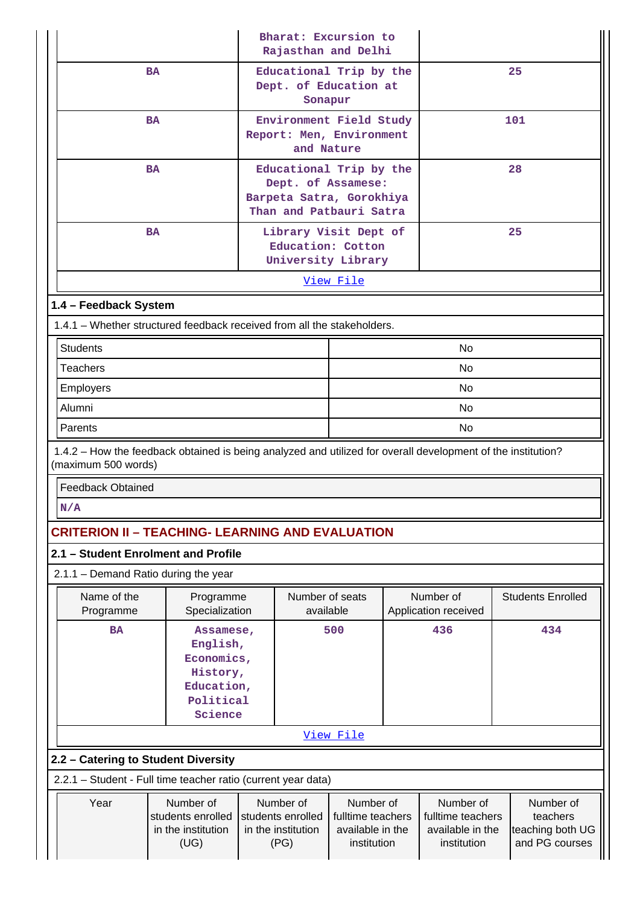|                                                                                                                                     |                                                                                                                              |  |            | Bharat: Excursion to<br>Rajasthan and Delhi                                                          |                                                                                                                                                                                                       |                                   |                          |  |  |
|-------------------------------------------------------------------------------------------------------------------------------------|------------------------------------------------------------------------------------------------------------------------------|--|------------|------------------------------------------------------------------------------------------------------|-------------------------------------------------------------------------------------------------------------------------------------------------------------------------------------------------------|-----------------------------------|--------------------------|--|--|
| <b>BA</b>                                                                                                                           |                                                                                                                              |  | Sonapur    | Educational Trip by the<br>Dept. of Education at                                                     |                                                                                                                                                                                                       | 25                                |                          |  |  |
| <b>BA</b>                                                                                                                           |                                                                                                                              |  | and Nature | Environment Field Study<br>Report: Men, Environment                                                  |                                                                                                                                                                                                       |                                   | 101                      |  |  |
| <b>BA</b>                                                                                                                           |                                                                                                                              |  |            | Educational Trip by the<br>Dept. of Assamese:<br>Barpeta Satra, Gorokhiya<br>Than and Patbauri Satra |                                                                                                                                                                                                       | 28                                |                          |  |  |
| <b>BA</b>                                                                                                                           |                                                                                                                              |  |            | Library Visit Dept of<br>Education: Cotton<br>University Library                                     |                                                                                                                                                                                                       |                                   | 25                       |  |  |
|                                                                                                                                     |                                                                                                                              |  |            | View File                                                                                            |                                                                                                                                                                                                       |                                   |                          |  |  |
| 1.4 - Feedback System                                                                                                               |                                                                                                                              |  |            |                                                                                                      |                                                                                                                                                                                                       |                                   |                          |  |  |
| 1.4.1 - Whether structured feedback received from all the stakeholders.                                                             |                                                                                                                              |  |            |                                                                                                      |                                                                                                                                                                                                       |                                   |                          |  |  |
| <b>Students</b><br><b>Teachers</b>                                                                                                  |                                                                                                                              |  |            |                                                                                                      |                                                                                                                                                                                                       | <b>No</b><br>No                   |                          |  |  |
| Employers                                                                                                                           |                                                                                                                              |  |            |                                                                                                      |                                                                                                                                                                                                       | No                                |                          |  |  |
| Alumni                                                                                                                              |                                                                                                                              |  |            |                                                                                                      |                                                                                                                                                                                                       | No                                |                          |  |  |
| Parents                                                                                                                             |                                                                                                                              |  |            | No.                                                                                                  |                                                                                                                                                                                                       |                                   |                          |  |  |
| 1.4.2 - How the feedback obtained is being analyzed and utilized for overall development of the institution?<br>(maximum 500 words) |                                                                                                                              |  |            |                                                                                                      |                                                                                                                                                                                                       |                                   |                          |  |  |
| <b>Feedback Obtained</b>                                                                                                            |                                                                                                                              |  |            |                                                                                                      |                                                                                                                                                                                                       |                                   |                          |  |  |
| N/A                                                                                                                                 |                                                                                                                              |  |            |                                                                                                      |                                                                                                                                                                                                       |                                   |                          |  |  |
| <b>CRITERION II - TEACHING- LEARNING AND EVALUATION</b>                                                                             |                                                                                                                              |  |            |                                                                                                      |                                                                                                                                                                                                       |                                   |                          |  |  |
| 2.1 - Student Enrolment and Profile                                                                                                 |                                                                                                                              |  |            |                                                                                                      |                                                                                                                                                                                                       |                                   |                          |  |  |
| 2.1.1 - Demand Ratio during the year                                                                                                |                                                                                                                              |  |            |                                                                                                      |                                                                                                                                                                                                       |                                   |                          |  |  |
| Name of the<br>Programme                                                                                                            | Programme<br>Specialization                                                                                                  |  | available  | Number of seats                                                                                      |                                                                                                                                                                                                       | Number of<br>Application received | <b>Students Enrolled</b> |  |  |
| <b>BA</b>                                                                                                                           | Assamese,<br>English,<br>Economics,<br>History,<br>Education,<br>Political<br>Science                                        |  |            | 500                                                                                                  | 436                                                                                                                                                                                                   |                                   | 434                      |  |  |
|                                                                                                                                     |                                                                                                                              |  |            | View File                                                                                            |                                                                                                                                                                                                       |                                   |                          |  |  |
| 2.2 - Catering to Student Diversity                                                                                                 |                                                                                                                              |  |            |                                                                                                      |                                                                                                                                                                                                       |                                   |                          |  |  |
| 2.2.1 - Student - Full time teacher ratio (current year data)                                                                       |                                                                                                                              |  |            |                                                                                                      |                                                                                                                                                                                                       |                                   |                          |  |  |
| Year                                                                                                                                | Number of<br>Number of<br>students enrolled<br>students enrolled<br>in the institution<br>in the institution<br>(UG)<br>(PG) |  |            |                                                                                                      | Number of<br>Number of<br>Number of<br>fulltime teachers<br>fulltime teachers<br>teachers<br>available in the<br>available in the<br>teaching both UG<br>and PG courses<br>institution<br>institution |                                   |                          |  |  |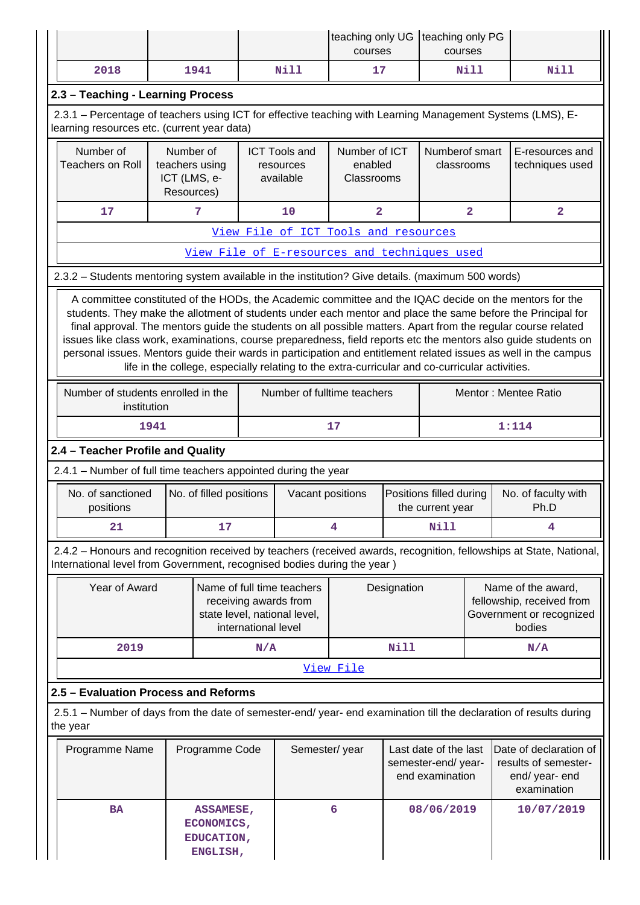|                                                                                                                                                           |      |                                                   |               |                                                                                                            | teaching only UG   teaching only PG<br>courses                 |      | courses                      |                                                                                 |                                                                                                                                                                                                                                                                                                                                                                                                                                                                                                                                                                               |  |
|-----------------------------------------------------------------------------------------------------------------------------------------------------------|------|---------------------------------------------------|---------------|------------------------------------------------------------------------------------------------------------|----------------------------------------------------------------|------|------------------------------|---------------------------------------------------------------------------------|-------------------------------------------------------------------------------------------------------------------------------------------------------------------------------------------------------------------------------------------------------------------------------------------------------------------------------------------------------------------------------------------------------------------------------------------------------------------------------------------------------------------------------------------------------------------------------|--|
| 2018                                                                                                                                                      |      | 1941                                              |               | <b>Nill</b>                                                                                                | 17                                                             |      |                              | Nill                                                                            | Nill                                                                                                                                                                                                                                                                                                                                                                                                                                                                                                                                                                          |  |
| 2.3 - Teaching - Learning Process                                                                                                                         |      |                                                   |               |                                                                                                            |                                                                |      |                              |                                                                                 |                                                                                                                                                                                                                                                                                                                                                                                                                                                                                                                                                                               |  |
| 2.3.1 – Percentage of teachers using ICT for effective teaching with Learning Management Systems (LMS), E-<br>learning resources etc. (current year data) |      |                                                   |               |                                                                                                            |                                                                |      |                              |                                                                                 |                                                                                                                                                                                                                                                                                                                                                                                                                                                                                                                                                                               |  |
| Number of<br>Number of<br><b>Teachers on Roll</b><br>teachers using<br>ICT (LMS, e-<br>Resources)                                                         |      |                                                   |               | <b>ICT Tools and</b><br>resources<br>available                                                             | Number of ICT<br>enabled<br>Classrooms                         |      | Numberof smart<br>classrooms |                                                                                 | E-resources and<br>techniques used                                                                                                                                                                                                                                                                                                                                                                                                                                                                                                                                            |  |
| 17                                                                                                                                                        |      | 7                                                 |               | 10                                                                                                         | $\overline{2}$                                                 |      |                              | $\overline{a}$                                                                  | $\overline{a}$                                                                                                                                                                                                                                                                                                                                                                                                                                                                                                                                                                |  |
|                                                                                                                                                           |      |                                                   |               | View File of ICT Tools and resources                                                                       |                                                                |      |                              |                                                                                 |                                                                                                                                                                                                                                                                                                                                                                                                                                                                                                                                                                               |  |
|                                                                                                                                                           |      |                                                   |               | View File of E-resources and techniques used                                                               |                                                                |      |                              |                                                                                 |                                                                                                                                                                                                                                                                                                                                                                                                                                                                                                                                                                               |  |
| 2.3.2 - Students mentoring system available in the institution? Give details. (maximum 500 words)                                                         |      |                                                   |               |                                                                                                            |                                                                |      |                              |                                                                                 |                                                                                                                                                                                                                                                                                                                                                                                                                                                                                                                                                                               |  |
|                                                                                                                                                           |      |                                                   |               | life in the college, especially relating to the extra-curricular and co-curricular activities.             |                                                                |      |                              |                                                                                 | A committee constituted of the HODs, the Academic committee and the IQAC decide on the mentors for the<br>students. They make the allotment of students under each mentor and place the same before the Principal for<br>final approval. The mentors guide the students on all possible matters. Apart from the regular course related<br>issues like class work, examinations, course preparedness, field reports etc the mentors also guide students on<br>personal issues. Mentors guide their wards in participation and entitlement related issues as well in the campus |  |
| Number of students enrolled in the<br>institution                                                                                                         |      |                                                   |               | Number of fulltime teachers                                                                                |                                                                |      |                              |                                                                                 | Mentor: Mentee Ratio                                                                                                                                                                                                                                                                                                                                                                                                                                                                                                                                                          |  |
|                                                                                                                                                           | 1941 |                                                   |               |                                                                                                            | 17                                                             |      |                              |                                                                                 | 1:114                                                                                                                                                                                                                                                                                                                                                                                                                                                                                                                                                                         |  |
| 2.4 - Teacher Profile and Quality                                                                                                                         |      |                                                   |               |                                                                                                            |                                                                |      |                              |                                                                                 |                                                                                                                                                                                                                                                                                                                                                                                                                                                                                                                                                                               |  |
| 2.4.1 - Number of full time teachers appointed during the year                                                                                            |      |                                                   |               |                                                                                                            |                                                                |      |                              |                                                                                 |                                                                                                                                                                                                                                                                                                                                                                                                                                                                                                                                                                               |  |
| No. of sanctioned<br>positions                                                                                                                            |      | No. of filled positions                           |               | Vacant positions                                                                                           | Positions filled during<br>the current year                    |      |                              |                                                                                 | No. of faculty with<br>Ph.D                                                                                                                                                                                                                                                                                                                                                                                                                                                                                                                                                   |  |
| 21                                                                                                                                                        |      | 17                                                |               | 4                                                                                                          |                                                                |      | Nill                         |                                                                                 | 4                                                                                                                                                                                                                                                                                                                                                                                                                                                                                                                                                                             |  |
| International level from Government, recognised bodies during the year)                                                                                   |      |                                                   |               |                                                                                                            |                                                                |      |                              |                                                                                 | 2.4.2 - Honours and recognition received by teachers (received awards, recognition, fellowships at State, National,                                                                                                                                                                                                                                                                                                                                                                                                                                                           |  |
| Year of Award                                                                                                                                             |      |                                                   |               | Name of full time teachers<br>receiving awards from<br>state level, national level,<br>international level |                                                                |      | Designation                  |                                                                                 | Name of the award,<br>fellowship, received from<br>Government or recognized<br>bodies                                                                                                                                                                                                                                                                                                                                                                                                                                                                                         |  |
| 2019                                                                                                                                                      |      |                                                   | N/A           |                                                                                                            |                                                                | Nill |                              |                                                                                 | N/A                                                                                                                                                                                                                                                                                                                                                                                                                                                                                                                                                                           |  |
|                                                                                                                                                           |      |                                                   |               |                                                                                                            | View File                                                      |      |                              |                                                                                 |                                                                                                                                                                                                                                                                                                                                                                                                                                                                                                                                                                               |  |
| 2.5 - Evaluation Process and Reforms                                                                                                                      |      |                                                   |               |                                                                                                            |                                                                |      |                              |                                                                                 |                                                                                                                                                                                                                                                                                                                                                                                                                                                                                                                                                                               |  |
| the year                                                                                                                                                  |      |                                                   |               |                                                                                                            |                                                                |      |                              |                                                                                 | 2.5.1 – Number of days from the date of semester-end/ year- end examination till the declaration of results during                                                                                                                                                                                                                                                                                                                                                                                                                                                            |  |
| Programme Name<br>Programme Code                                                                                                                          |      |                                                   | Semester/year |                                                                                                            | Last date of the last<br>semester-end/year-<br>end examination |      |                              | Date of declaration of<br>results of semester-<br>end/ year- end<br>examination |                                                                                                                                                                                                                                                                                                                                                                                                                                                                                                                                                                               |  |
| <b>BA</b>                                                                                                                                                 |      | ASSAMESE,<br>ECONOMICS,<br>EDUCATION,<br>ENGLISH, |               |                                                                                                            | 6                                                              |      | 08/06/2019                   |                                                                                 | 10/07/2019                                                                                                                                                                                                                                                                                                                                                                                                                                                                                                                                                                    |  |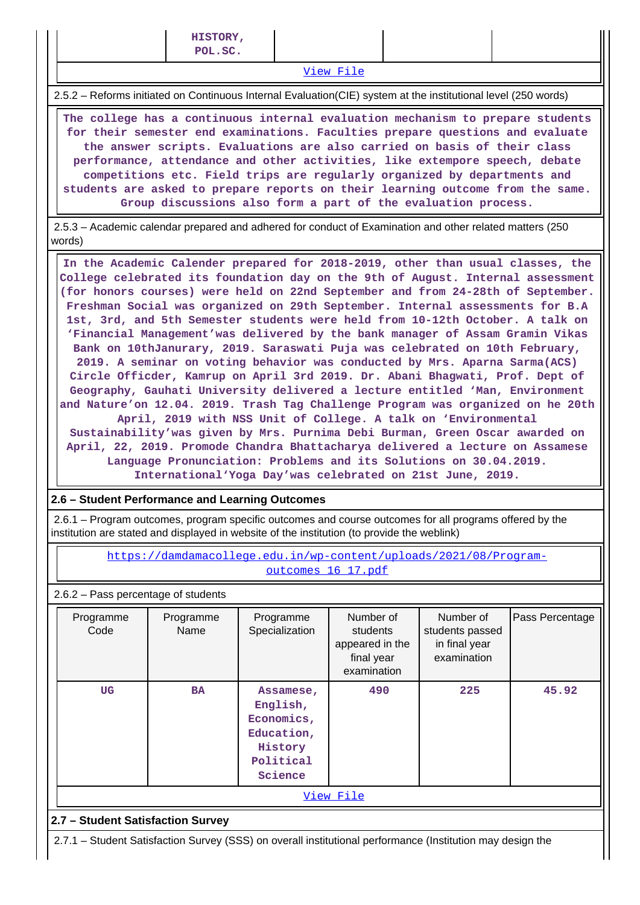[View File](https://assessmentonline.naac.gov.in/public/Postacc/Evaluation/13370_Evaluation_1630141876.xlsx)

2.5.2 – Reforms initiated on Continuous Internal Evaluation(CIE) system at the institutional level (250 words)

 **The college has a continuous internal evaluation mechanism to prepare students for their semester end examinations. Faculties prepare questions and evaluate the answer scripts. Evaluations are also carried on basis of their class performance, attendance and other activities, like extempore speech, debate competitions etc. Field trips are regularly organized by departments and students are asked to prepare reports on their learning outcome from the same. Group discussions also form a part of the evaluation process.**

 2.5.3 – Academic calendar prepared and adhered for conduct of Examination and other related matters (250 words)

 **In the Academic Calender prepared for 2018-2019, other than usual classes, the College celebrated its foundation day on the 9th of August. Internal assessment (for honors courses) were held on 22nd September and from 24-28th of September. Freshman Social was organized on 29th September. Internal assessments for B.A 1st, 3rd, and 5th Semester students were held from 10-12th October. A talk on 'Financial Management'was delivered by the bank manager of Assam Gramin Vikas Bank on 10thJanurary, 2019. Saraswati Puja was celebrated on 10th February, 2019. A seminar on voting behavior was conducted by Mrs. Aparna Sarma(ACS) Circle Officder, Kamrup on April 3rd 2019. Dr. Abani Bhagwati, Prof. Dept of Geography, Gauhati University delivered a lecture entitled 'Man, Environment and Nature'on 12.04. 2019. Trash Tag Challenge Program was organized on he 20th April, 2019 with NSS Unit of College. A talk on 'Environmental Sustainability'was given by Mrs. Purnima Debi Burman, Green Oscar awarded on April, 22, 2019. Promode Chandra Bhattacharya delivered a lecture on Assamese Language Pronunciation: Problems and its Solutions on 30.04.2019. International'Yoga Day'was celebrated on 21st June, 2019.**

## **2.6 – Student Performance and Learning Outcomes**

 2.6.1 – Program outcomes, program specific outcomes and course outcomes for all programs offered by the institution are stated and displayed in website of the institution (to provide the weblink)

> [https://damdamacollege.edu.in/wp-content/uploads/2021/08/Program](https://damdamacollege.edu.in/wp-content/uploads/2021/08/Program-outcomes_16_17.pdf)[outcomes\\_16\\_17.pdf](https://damdamacollege.edu.in/wp-content/uploads/2021/08/Program-outcomes_16_17.pdf)

## 2.6.2 – Pass percentage of students

| Programme<br>Code | Programme<br>Name                                                                                 | Programme<br>Specialization | Number of<br>students<br>appeared in the<br>final year<br>examination | Number of<br>students passed<br>in final year<br>examination | Pass Percentage |  |  |  |  |
|-------------------|---------------------------------------------------------------------------------------------------|-----------------------------|-----------------------------------------------------------------------|--------------------------------------------------------------|-----------------|--|--|--|--|
| UG                | <b>BA</b><br>Assamese,<br>English,<br>Economics,<br>Education,<br>History<br>Political<br>Science |                             | 490                                                                   | 225                                                          | 45.92           |  |  |  |  |
| View File         |                                                                                                   |                             |                                                                       |                                                              |                 |  |  |  |  |

## **2.7 – Student Satisfaction Survey**

2.7.1 – Student Satisfaction Survey (SSS) on overall institutional performance (Institution may design the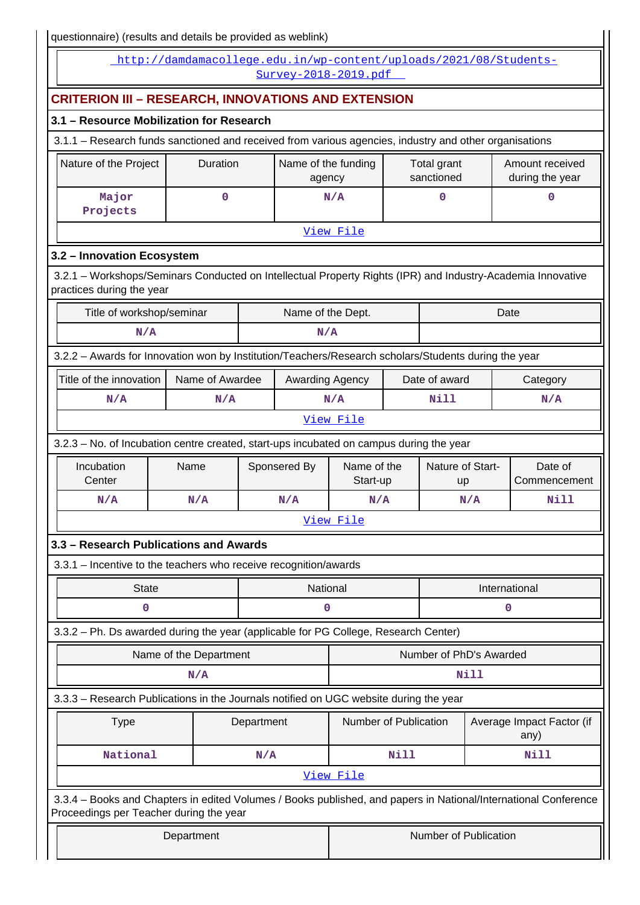I questionnaire) (results and details be provided as weblink)

| $q$ uestioninalie) (results and details be provided as weblink)                                                                                            |                                                                   |            |                               |                         |               |                           |                                    |                                   |
|------------------------------------------------------------------------------------------------------------------------------------------------------------|-------------------------------------------------------------------|------------|-------------------------------|-------------------------|---------------|---------------------------|------------------------------------|-----------------------------------|
|                                                                                                                                                            | http://damdamacollege.edu.in/wp-content/uploads/2021/08/Students- |            | Survey-2018-2019.pdf          |                         |               |                           |                                    |                                   |
| <b>CRITERION III - RESEARCH, INNOVATIONS AND EXTENSION</b>                                                                                                 |                                                                   |            |                               |                         |               |                           |                                    |                                   |
| 3.1 - Resource Mobilization for Research                                                                                                                   |                                                                   |            |                               |                         |               |                           |                                    |                                   |
| 3.1.1 - Research funds sanctioned and received from various agencies, industry and other organisations                                                     |                                                                   |            |                               |                         |               |                           |                                    |                                   |
| Nature of the Project                                                                                                                                      | Duration                                                          |            | Name of the funding<br>agency |                         |               | Total grant<br>sanctioned | Amount received<br>during the year |                                   |
| Major<br>Projects                                                                                                                                          | 0                                                                 |            |                               | N/A                     |               | 0                         |                                    | $\mathbf 0$                       |
|                                                                                                                                                            |                                                                   |            |                               | View File               |               |                           |                                    |                                   |
| 3.2 - Innovation Ecosystem                                                                                                                                 |                                                                   |            |                               |                         |               |                           |                                    |                                   |
| 3.2.1 - Workshops/Seminars Conducted on Intellectual Property Rights (IPR) and Industry-Academia Innovative<br>practices during the year                   |                                                                   |            |                               |                         |               |                           |                                    |                                   |
| Title of workshop/seminar                                                                                                                                  |                                                                   |            | Name of the Dept.             |                         |               |                           |                                    | Date                              |
| N/A                                                                                                                                                        |                                                                   |            | N/A                           |                         |               |                           |                                    |                                   |
| 3.2.2 - Awards for Innovation won by Institution/Teachers/Research scholars/Students during the year                                                       |                                                                   |            |                               |                         |               |                           |                                    |                                   |
| Title of the innovation                                                                                                                                    | Name of Awardee                                                   |            | Awarding Agency               |                         |               | Date of award             |                                    | Category                          |
| N/A                                                                                                                                                        | N/A                                                               |            |                               | N/A                     |               | Nill                      |                                    | N/A                               |
|                                                                                                                                                            |                                                                   |            |                               | View File               |               |                           |                                    |                                   |
| 3.2.3 - No. of Incubation centre created, start-ups incubated on campus during the year                                                                    |                                                                   |            |                               |                         |               |                           |                                    |                                   |
| Incubation<br>Center                                                                                                                                       | Name                                                              |            | Sponsered By                  | Name of the<br>Start-up |               | Nature of Start-<br>up    |                                    | Date of<br>Commencement           |
| N/A                                                                                                                                                        | N/A                                                               |            | N/A                           | N/A                     |               | N/A                       |                                    | Nill                              |
|                                                                                                                                                            |                                                                   |            |                               | View File               |               |                           |                                    |                                   |
| 3.3 - Research Publications and Awards                                                                                                                     |                                                                   |            |                               |                         |               |                           |                                    |                                   |
| 3.3.1 - Incentive to the teachers who receive recognition/awards                                                                                           |                                                                   |            |                               |                         |               |                           |                                    |                                   |
| <b>State</b>                                                                                                                                               |                                                                   |            | National                      |                         | International |                           |                                    |                                   |
| 0                                                                                                                                                          |                                                                   |            | 0                             |                         |               |                           |                                    | 0                                 |
| 3.3.2 - Ph. Ds awarded during the year (applicable for PG College, Research Center)                                                                        |                                                                   |            |                               |                         |               |                           |                                    |                                   |
|                                                                                                                                                            | Name of the Department                                            |            |                               |                         |               | Number of PhD's Awarded   |                                    |                                   |
|                                                                                                                                                            | N/A                                                               |            |                               |                         |               |                           | <b>Nill</b>                        |                                   |
| 3.3.3 - Research Publications in the Journals notified on UGC website during the year                                                                      |                                                                   |            |                               |                         |               |                           |                                    |                                   |
| <b>Type</b>                                                                                                                                                |                                                                   | Department |                               | Number of Publication   |               |                           |                                    | Average Impact Factor (if<br>any) |
| National                                                                                                                                                   |                                                                   | N/A        |                               |                         | Nill          |                           |                                    | Nill                              |
|                                                                                                                                                            |                                                                   |            |                               | View File               |               |                           |                                    |                                   |
| 3.3.4 – Books and Chapters in edited Volumes / Books published, and papers in National/International Conference<br>Proceedings per Teacher during the year |                                                                   |            |                               |                         |               |                           |                                    |                                   |
|                                                                                                                                                            | Department                                                        |            |                               |                         |               | Number of Publication     |                                    |                                   |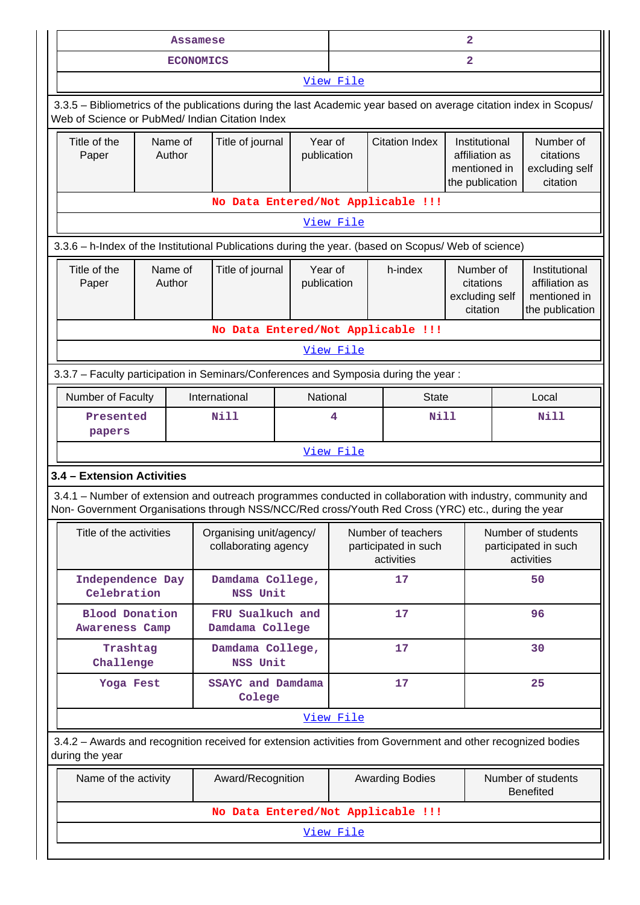|                                                                                                                                                                                                                    | <b>Assamese</b>   |                                                 |                        |                                                                                             |                                                          | $\overline{a}$                                       |                                                                    |
|--------------------------------------------------------------------------------------------------------------------------------------------------------------------------------------------------------------------|-------------------|-------------------------------------------------|------------------------|---------------------------------------------------------------------------------------------|----------------------------------------------------------|------------------------------------------------------|--------------------------------------------------------------------|
|                                                                                                                                                                                                                    | <b>ECONOMICS</b>  |                                                 | View File              |                                                                                             |                                                          | $\overline{\mathbf{2}}$                              |                                                                    |
|                                                                                                                                                                                                                    |                   |                                                 |                        |                                                                                             |                                                          |                                                      |                                                                    |
| 3.3.5 - Bibliometrics of the publications during the last Academic year based on average citation index in Scopus/<br>Web of Science or PubMed/ Indian Citation Index                                              |                   |                                                 |                        |                                                                                             |                                                          |                                                      |                                                                    |
| Title of the<br>Paper                                                                                                                                                                                              | Name of<br>Author | Title of journal                                | Year of<br>publication | <b>Citation Index</b><br>Institutional<br>affiliation as<br>mentioned in<br>the publication |                                                          | Number of<br>citations<br>excluding self<br>citation |                                                                    |
|                                                                                                                                                                                                                    |                   | No Data Entered/Not Applicable !!!              |                        |                                                                                             |                                                          |                                                      |                                                                    |
|                                                                                                                                                                                                                    |                   |                                                 | <u>View File</u>       |                                                                                             |                                                          |                                                      |                                                                    |
| 3.3.6 - h-Index of the Institutional Publications during the year. (based on Scopus/ Web of science)                                                                                                               |                   |                                                 |                        |                                                                                             |                                                          |                                                      |                                                                    |
| Title of the<br>Paper                                                                                                                                                                                              | Name of<br>Author | Title of journal                                | Year of<br>publication | h-index                                                                                     |                                                          | Number of<br>citations<br>excluding self<br>citation | Institutional<br>affiliation as<br>mentioned in<br>the publication |
|                                                                                                                                                                                                                    |                   | No Data Entered/Not Applicable !!!              |                        |                                                                                             |                                                          |                                                      |                                                                    |
|                                                                                                                                                                                                                    |                   |                                                 | View File              |                                                                                             |                                                          |                                                      |                                                                    |
| 3.3.7 - Faculty participation in Seminars/Conferences and Symposia during the year:                                                                                                                                |                   |                                                 |                        |                                                                                             |                                                          |                                                      |                                                                    |
| Number of Faculty                                                                                                                                                                                                  |                   | International                                   | National               |                                                                                             | <b>State</b>                                             |                                                      | Local                                                              |
| Presented<br>papers                                                                                                                                                                                                |                   | Nill                                            | 4                      |                                                                                             | Nill                                                     |                                                      | <b>Nill</b>                                                        |
|                                                                                                                                                                                                                    |                   |                                                 | View File              |                                                                                             |                                                          |                                                      |                                                                    |
| 3.4 - Extension Activities                                                                                                                                                                                         |                   |                                                 |                        |                                                                                             |                                                          |                                                      |                                                                    |
| 3.4.1 – Number of extension and outreach programmes conducted in collaboration with industry, community and<br>Non- Government Organisations through NSS/NCC/Red cross/Youth Red Cross (YRC) etc., during the year |                   |                                                 |                        |                                                                                             |                                                          |                                                      |                                                                    |
| Title of the activities                                                                                                                                                                                            |                   | Organising unit/agency/<br>collaborating agency |                        |                                                                                             | Number of teachers<br>participated in such<br>activities |                                                      | Number of students<br>participated in such<br>activities           |
| Independence Day<br>Celebration                                                                                                                                                                                    |                   | Damdama College,<br>NSS Unit                    |                        |                                                                                             | 17                                                       |                                                      | 50                                                                 |
| <b>Blood Donation</b><br><b>Awareness Camp</b>                                                                                                                                                                     |                   | FRU Sualkuch and<br>Damdama College             |                        |                                                                                             | 17                                                       |                                                      | 96                                                                 |
| Trashtag<br>Challenge                                                                                                                                                                                              |                   | Damdama College,<br>NSS Unit                    |                        |                                                                                             | 17                                                       |                                                      | 30                                                                 |
| Yoga Fest                                                                                                                                                                                                          |                   | SSAYC and Damdama<br>Colege                     |                        |                                                                                             | 17                                                       |                                                      | 25                                                                 |
|                                                                                                                                                                                                                    |                   |                                                 | View File              |                                                                                             |                                                          |                                                      |                                                                    |
| 3.4.2 - Awards and recognition received for extension activities from Government and other recognized bodies<br>during the year                                                                                    |                   |                                                 |                        |                                                                                             |                                                          |                                                      |                                                                    |
| Name of the activity                                                                                                                                                                                               |                   | Award/Recognition                               |                        |                                                                                             | <b>Awarding Bodies</b>                                   |                                                      | Number of students<br><b>Benefited</b>                             |
|                                                                                                                                                                                                                    |                   | No Data Entered/Not Applicable !!!              |                        |                                                                                             |                                                          |                                                      |                                                                    |
|                                                                                                                                                                                                                    |                   |                                                 | View File              |                                                                                             |                                                          |                                                      |                                                                    |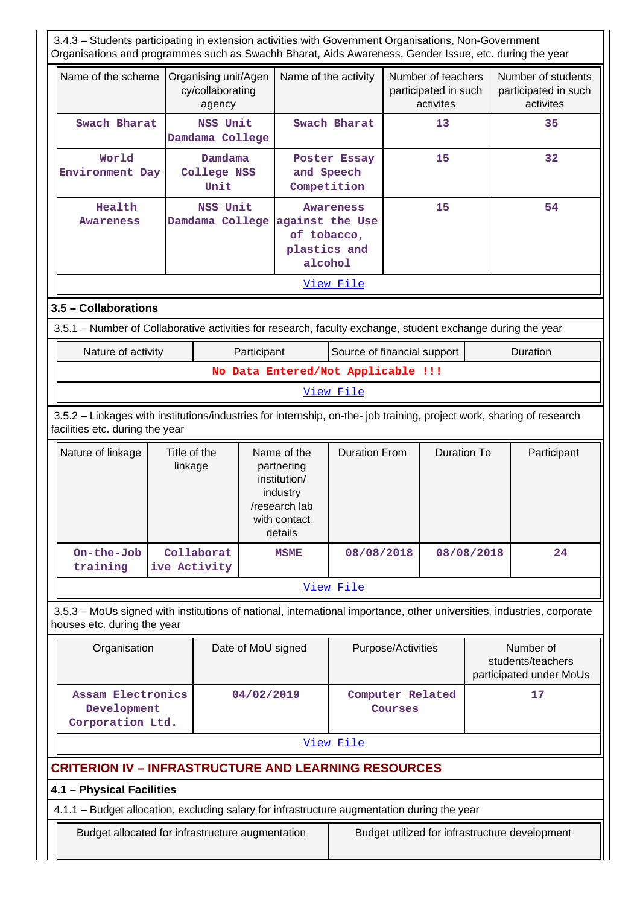3.4.3 – Students participating in extension activities with Government Organisations, Non-Government Organisations and programmes such as Swachh Bharat, Aids Awareness, Gender Issue, etc. during the year Name of the scheme Organising unit/Agen cy/collaborating agency Name of the activity  $\vert$  Number of teachers participated in such activites Number of students participated in such activites Swach Bharat | NSS Unit **Damdama College Swach Bharat 13** 13 35  **World Environment Day Damdama College NSS Unit Poster Essay and Speech Competition 15 32 Health Awareness NSS Unit Damdama College against the Use Awareness of tobacco, plastics and alcohol 15 54** [View File](https://assessmentonline.naac.gov.in/public/Postacc/Students_in_extension/13370_Students_in_extension_1630142953.xlsx) **3.5 – Collaborations** 3.5.1 – Number of Collaborative activities for research, faculty exchange, student exchange during the year Nature of activity **Participant** Source of financial support | Duration **No Data Entered/Not Applicable !!!** [View File](https://assessmentonline.naac.gov.in/public/Postacc/Collab_activities/13370_Collab_activities_1630142985.xlsx) 3.5.2 – Linkages with institutions/industries for internship, on-the- job training, project work, sharing of research facilities etc. during the year Nature of linkage  $\vert$  Title of the linkage Name of the partnering institution/ industry /research lab with contact details Duration From | Duration To | Participant  **On-the-Job training Collaborat ive Activity MSME 08/08/2018 08/08/2018 24** [View File](https://assessmentonline.naac.gov.in/public/Postacc/Linkages/13370_Linkages_1630143045.xlsx) 3.5.3 – MoUs signed with institutions of national, international importance, other universities, industries, corporate houses etc. during the year Organisation | Date of MoU signed | Purpose/Activities | Number of students/teachers participated under MoUs  **Assam Electronics Development Corporation Ltd. 04/02/2019 Computer Related Courses 17** [View File](https://assessmentonline.naac.gov.in/public/Postacc/MoU/13370_MoU_1630143085.xlsx) **CRITERION IV – INFRASTRUCTURE AND LEARNING RESOURCES 4.1 – Physical Facilities** 4.1.1 – Budget allocation, excluding salary for infrastructure augmentation during the year Budget allocated for infrastructure augmentation **Budget utilized for infrastructure development**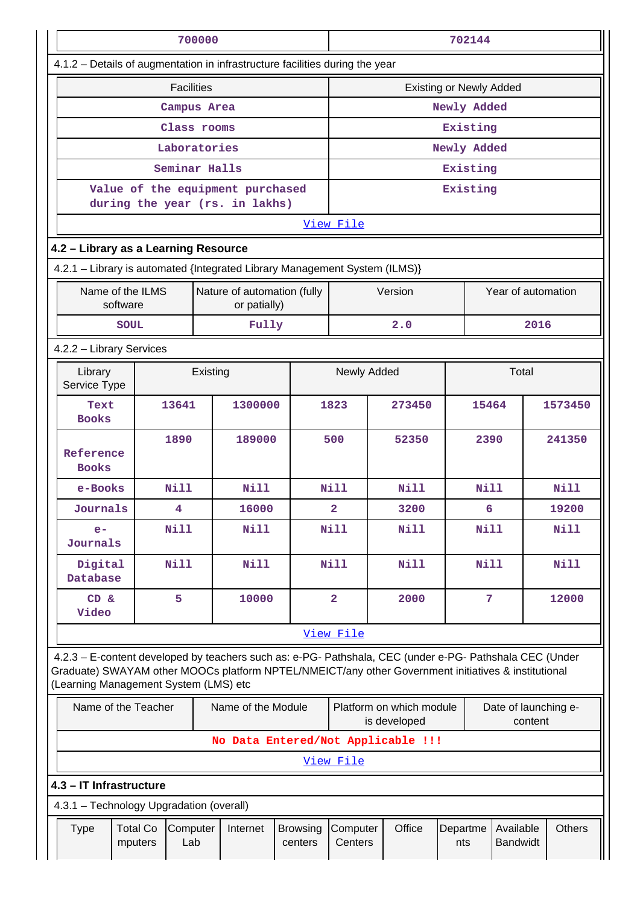|                                                                                                                                                                                                                                                         |                                                                    | 700000   |                                             |                            |                                                                             |                                    |                 | 702144         |                              |               |
|---------------------------------------------------------------------------------------------------------------------------------------------------------------------------------------------------------------------------------------------------------|--------------------------------------------------------------------|----------|---------------------------------------------|----------------------------|-----------------------------------------------------------------------------|------------------------------------|-----------------|----------------|------------------------------|---------------|
| 4.1.2 - Details of augmentation in infrastructure facilities during the year                                                                                                                                                                            |                                                                    |          |                                             |                            |                                                                             |                                    |                 |                |                              |               |
|                                                                                                                                                                                                                                                         | <b>Facilities</b><br><b>Existing or Newly Added</b>                |          |                                             |                            |                                                                             |                                    |                 |                |                              |               |
|                                                                                                                                                                                                                                                         | Campus Area                                                        |          |                                             |                            | Newly Added                                                                 |                                    |                 |                |                              |               |
|                                                                                                                                                                                                                                                         | Class rooms                                                        |          |                                             |                            |                                                                             |                                    |                 | Existing       |                              |               |
|                                                                                                                                                                                                                                                         | Laboratories                                                       |          |                                             |                            |                                                                             |                                    |                 | Newly Added    |                              |               |
|                                                                                                                                                                                                                                                         | Seminar Halls                                                      |          |                                             |                            |                                                                             |                                    |                 | Existing       |                              |               |
|                                                                                                                                                                                                                                                         | Value of the equipment purchased<br>during the year (rs. in lakhs) |          |                                             |                            |                                                                             |                                    |                 | Existing       |                              |               |
|                                                                                                                                                                                                                                                         |                                                                    |          |                                             |                            | View File                                                                   |                                    |                 |                |                              |               |
| 4.2 - Library as a Learning Resource                                                                                                                                                                                                                    |                                                                    |          |                                             |                            |                                                                             |                                    |                 |                |                              |               |
| 4.2.1 - Library is automated {Integrated Library Management System (ILMS)}                                                                                                                                                                              |                                                                    |          |                                             |                            |                                                                             |                                    |                 |                |                              |               |
| Name of the ILMS<br>software                                                                                                                                                                                                                            |                                                                    |          | Nature of automation (fully<br>or patially) |                            |                                                                             | Version                            |                 |                | Year of automation           |               |
| <b>SOUL</b>                                                                                                                                                                                                                                             |                                                                    |          | Fully                                       |                            |                                                                             | 2.0                                |                 |                | 2016                         |               |
| 4.2.2 - Library Services                                                                                                                                                                                                                                |                                                                    |          |                                             |                            |                                                                             |                                    |                 |                |                              |               |
| Library<br>Service Type                                                                                                                                                                                                                                 |                                                                    | Existing |                                             |                            | Total<br>Newly Added                                                        |                                    |                 |                |                              |               |
| Text<br><b>Books</b>                                                                                                                                                                                                                                    | 13641                                                              |          | 1300000                                     |                            | 1823                                                                        | 273450                             |                 | 15464          |                              | 1573450       |
| Reference<br><b>Books</b>                                                                                                                                                                                                                               | 1890                                                               |          | 189000                                      |                            | 500                                                                         | 52350                              |                 | 2390           |                              | 241350        |
| e-Books                                                                                                                                                                                                                                                 | <b>Nill</b>                                                        |          | <b>Nill</b>                                 |                            | <b>Nill</b>                                                                 | Nill                               |                 | Nill           |                              | Nill          |
| Journals                                                                                                                                                                                                                                                | 4                                                                  |          | 16000                                       |                            | 2                                                                           | 3200                               |                 | 6              |                              | 19200         |
| $e-$<br>Journals                                                                                                                                                                                                                                        | <b>Nill</b>                                                        |          | <b>Nill</b>                                 |                            | <b>Nill</b>                                                                 | Nill                               |                 | Nill           |                              | <b>Nill</b>   |
| Digital<br>Database                                                                                                                                                                                                                                     | <b>Nill</b>                                                        |          | <b>Nill</b>                                 |                            | Nill                                                                        | Nill                               |                 | Nill           |                              | Nill          |
| CD &<br>Video                                                                                                                                                                                                                                           | 5                                                                  |          | 10000                                       |                            | $\overline{\mathbf{2}}$                                                     | 2000                               |                 | $\overline{7}$ |                              | 12000         |
|                                                                                                                                                                                                                                                         |                                                                    |          |                                             |                            | View File                                                                   |                                    |                 |                |                              |               |
| 4.2.3 - E-content developed by teachers such as: e-PG- Pathshala, CEC (under e-PG- Pathshala CEC (Under<br>Graduate) SWAYAM other MOOCs platform NPTEL/NMEICT/any other Government initiatives & institutional<br>(Learning Management System (LMS) etc |                                                                    |          |                                             |                            |                                                                             |                                    |                 |                |                              |               |
| Name of the Teacher                                                                                                                                                                                                                                     |                                                                    |          | Name of the Module                          |                            | Platform on which module<br>Date of launching e-<br>is developed<br>content |                                    |                 |                |                              |               |
|                                                                                                                                                                                                                                                         |                                                                    |          |                                             |                            |                                                                             | No Data Entered/Not Applicable !!! |                 |                |                              |               |
|                                                                                                                                                                                                                                                         |                                                                    |          |                                             |                            | <u>View File</u>                                                            |                                    |                 |                |                              |               |
| 4.3 - IT Infrastructure                                                                                                                                                                                                                                 |                                                                    |          |                                             |                            |                                                                             |                                    |                 |                |                              |               |
| 4.3.1 - Technology Upgradation (overall)                                                                                                                                                                                                                |                                                                    |          |                                             |                            |                                                                             |                                    |                 |                |                              |               |
| <b>Type</b>                                                                                                                                                                                                                                             | <b>Total Co</b><br>Computer<br>mputers<br>Lab                      |          | Internet                                    | <b>Browsing</b><br>centers | Computer<br>Centers                                                         | Office                             | Departme<br>nts |                | Available<br><b>Bandwidt</b> | <b>Others</b> |
|                                                                                                                                                                                                                                                         |                                                                    |          |                                             |                            |                                                                             |                                    |                 |                |                              |               |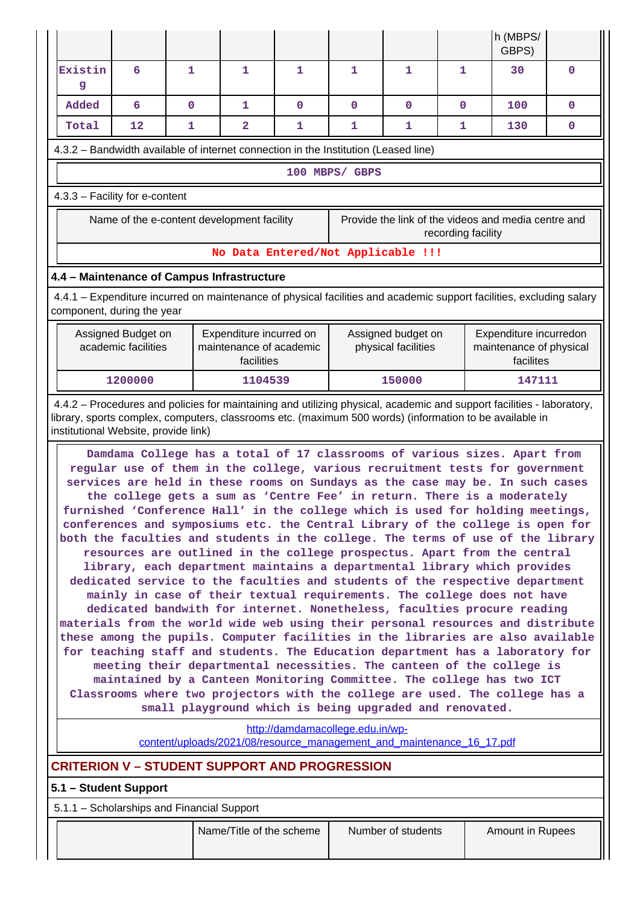|                                                                                     |                                                                                                                                                                                                                                                                                                                                                                                                                                                                                                                                                                                                                                                                                                                                                                                                                                                                                                                                                                                                                                                                                                                                                                                                                                                                                                                                                                                                                                                                                                                                 |             |                                                                  |                                    |                                           |             |                                                                       | h (MBPS/<br>GBPS)                                                                                                                                                                                                                |              |  |
|-------------------------------------------------------------------------------------|---------------------------------------------------------------------------------------------------------------------------------------------------------------------------------------------------------------------------------------------------------------------------------------------------------------------------------------------------------------------------------------------------------------------------------------------------------------------------------------------------------------------------------------------------------------------------------------------------------------------------------------------------------------------------------------------------------------------------------------------------------------------------------------------------------------------------------------------------------------------------------------------------------------------------------------------------------------------------------------------------------------------------------------------------------------------------------------------------------------------------------------------------------------------------------------------------------------------------------------------------------------------------------------------------------------------------------------------------------------------------------------------------------------------------------------------------------------------------------------------------------------------------------|-------------|------------------------------------------------------------------|------------------------------------|-------------------------------------------|-------------|-----------------------------------------------------------------------|----------------------------------------------------------------------------------------------------------------------------------------------------------------------------------------------------------------------------------|--------------|--|
| Existin<br>g                                                                        | 6                                                                                                                                                                                                                                                                                                                                                                                                                                                                                                                                                                                                                                                                                                                                                                                                                                                                                                                                                                                                                                                                                                                                                                                                                                                                                                                                                                                                                                                                                                                               | 1           | 1                                                                | 1                                  | 1                                         | 1           | 1                                                                     | 30                                                                                                                                                                                                                               | $\mathbf 0$  |  |
| Added                                                                               | 6                                                                                                                                                                                                                                                                                                                                                                                                                                                                                                                                                                                                                                                                                                                                                                                                                                                                                                                                                                                                                                                                                                                                                                                                                                                                                                                                                                                                                                                                                                                               | $\mathbf 0$ | $\mathbf{1}$                                                     | $\mathbf{O}$                       | $\mathbf 0$                               | $\mathbf 0$ | $\mathbf{O}$                                                          | 100                                                                                                                                                                                                                              | $\mathbf 0$  |  |
| Total                                                                               | 12                                                                                                                                                                                                                                                                                                                                                                                                                                                                                                                                                                                                                                                                                                                                                                                                                                                                                                                                                                                                                                                                                                                                                                                                                                                                                                                                                                                                                                                                                                                              | 1           | 2                                                                | 1                                  | 1                                         | 1           | 1                                                                     | 130                                                                                                                                                                                                                              | $\mathbf{0}$ |  |
| 4.3.2 - Bandwidth available of internet connection in the Institution (Leased line) |                                                                                                                                                                                                                                                                                                                                                                                                                                                                                                                                                                                                                                                                                                                                                                                                                                                                                                                                                                                                                                                                                                                                                                                                                                                                                                                                                                                                                                                                                                                                 |             |                                                                  |                                    |                                           |             |                                                                       |                                                                                                                                                                                                                                  |              |  |
|                                                                                     |                                                                                                                                                                                                                                                                                                                                                                                                                                                                                                                                                                                                                                                                                                                                                                                                                                                                                                                                                                                                                                                                                                                                                                                                                                                                                                                                                                                                                                                                                                                                 |             |                                                                  |                                    | 100 MBPS/ GBPS                            |             |                                                                       |                                                                                                                                                                                                                                  |              |  |
| 4.3.3 - Facility for e-content                                                      |                                                                                                                                                                                                                                                                                                                                                                                                                                                                                                                                                                                                                                                                                                                                                                                                                                                                                                                                                                                                                                                                                                                                                                                                                                                                                                                                                                                                                                                                                                                                 |             |                                                                  |                                    |                                           |             |                                                                       |                                                                                                                                                                                                                                  |              |  |
|                                                                                     |                                                                                                                                                                                                                                                                                                                                                                                                                                                                                                                                                                                                                                                                                                                                                                                                                                                                                                                                                                                                                                                                                                                                                                                                                                                                                                                                                                                                                                                                                                                                 |             | Name of the e-content development facility                       |                                    |                                           |             | recording facility                                                    | Provide the link of the videos and media centre and                                                                                                                                                                              |              |  |
|                                                                                     |                                                                                                                                                                                                                                                                                                                                                                                                                                                                                                                                                                                                                                                                                                                                                                                                                                                                                                                                                                                                                                                                                                                                                                                                                                                                                                                                                                                                                                                                                                                                 |             |                                                                  | No Data Entered/Not Applicable !!! |                                           |             |                                                                       |                                                                                                                                                                                                                                  |              |  |
| 4.4 - Maintenance of Campus Infrastructure                                          |                                                                                                                                                                                                                                                                                                                                                                                                                                                                                                                                                                                                                                                                                                                                                                                                                                                                                                                                                                                                                                                                                                                                                                                                                                                                                                                                                                                                                                                                                                                                 |             |                                                                  |                                    |                                           |             |                                                                       |                                                                                                                                                                                                                                  |              |  |
| component, during the year                                                          |                                                                                                                                                                                                                                                                                                                                                                                                                                                                                                                                                                                                                                                                                                                                                                                                                                                                                                                                                                                                                                                                                                                                                                                                                                                                                                                                                                                                                                                                                                                                 |             |                                                                  |                                    |                                           |             |                                                                       | 4.4.1 – Expenditure incurred on maintenance of physical facilities and academic support facilities, excluding salary                                                                                                             |              |  |
|                                                                                     | Assigned Budget on<br>academic facilities                                                                                                                                                                                                                                                                                                                                                                                                                                                                                                                                                                                                                                                                                                                                                                                                                                                                                                                                                                                                                                                                                                                                                                                                                                                                                                                                                                                                                                                                                       |             | Expenditure incurred on<br>maintenance of academic<br>facilities |                                    | Assigned budget on<br>physical facilities |             | Expenditure incurredon<br>maintenance of physical<br>facilites        |                                                                                                                                                                                                                                  |              |  |
|                                                                                     | 1200000                                                                                                                                                                                                                                                                                                                                                                                                                                                                                                                                                                                                                                                                                                                                                                                                                                                                                                                                                                                                                                                                                                                                                                                                                                                                                                                                                                                                                                                                                                                         |             | 1104539                                                          |                                    |                                           | 150000      |                                                                       | 147111                                                                                                                                                                                                                           |              |  |
| institutional Website, provide link)                                                |                                                                                                                                                                                                                                                                                                                                                                                                                                                                                                                                                                                                                                                                                                                                                                                                                                                                                                                                                                                                                                                                                                                                                                                                                                                                                                                                                                                                                                                                                                                                 |             |                                                                  |                                    |                                           |             |                                                                       | 4.4.2 - Procedures and policies for maintaining and utilizing physical, academic and support facilities - laboratory,<br>library, sports complex, computers, classrooms etc. (maximum 500 words) (information to be available in |              |  |
|                                                                                     | Damdama College has a total of 17 classrooms of various sizes. Apart from<br>regular use of them in the college, various recruitment tests for government<br>services are held in these rooms on Sundays as the case may be. In such cases<br>the college gets a sum as 'Centre Fee' in return. There is a moderately<br>furnished 'Conference Hall' in the college which is used for holding meetings,<br>conferences and symposiums etc. the Central Library of the college is open for<br>both the faculties and students in the college. The terms of use of the library<br>resources are outlined in the college prospectus. Apart from the central<br>library, each department maintains a departmental library which provides<br>dedicated service to the faculties and students of the respective department<br>mainly in case of their textual requirements. The college does not have<br>dedicated bandwith for internet. Nonetheless, faculties procure reading<br>materials from the world wide web using their personal resources and distribute<br>these among the pupils. Computer facilities in the libraries are also available<br>for teaching staff and students. The Education department has a laboratory for<br>meeting their departmental necessities. The canteen of the college is<br>maintained by a Canteen Monitoring Committee. The college has two ICT<br>Classrooms where two projectors with the college are used. The college has a<br>small playground which is being upgraded and renovated. |             |                                                                  |                                    |                                           |             |                                                                       |                                                                                                                                                                                                                                  |              |  |
|                                                                                     |                                                                                                                                                                                                                                                                                                                                                                                                                                                                                                                                                                                                                                                                                                                                                                                                                                                                                                                                                                                                                                                                                                                                                                                                                                                                                                                                                                                                                                                                                                                                 |             |                                                                  | http://damdamacollege.edu.in/wp-   |                                           |             | content/uploads/2021/08/resource management and maintenance 16 17.pdf |                                                                                                                                                                                                                                  |              |  |
| <b>CRITERION V - STUDENT SUPPORT AND PROGRESSION</b>                                |                                                                                                                                                                                                                                                                                                                                                                                                                                                                                                                                                                                                                                                                                                                                                                                                                                                                                                                                                                                                                                                                                                                                                                                                                                                                                                                                                                                                                                                                                                                                 |             |                                                                  |                                    |                                           |             |                                                                       |                                                                                                                                                                                                                                  |              |  |
| 5.1 - Student Support                                                               |                                                                                                                                                                                                                                                                                                                                                                                                                                                                                                                                                                                                                                                                                                                                                                                                                                                                                                                                                                                                                                                                                                                                                                                                                                                                                                                                                                                                                                                                                                                                 |             |                                                                  |                                    |                                           |             |                                                                       |                                                                                                                                                                                                                                  |              |  |
| 5.1.1 - Scholarships and Financial Support                                          |                                                                                                                                                                                                                                                                                                                                                                                                                                                                                                                                                                                                                                                                                                                                                                                                                                                                                                                                                                                                                                                                                                                                                                                                                                                                                                                                                                                                                                                                                                                                 |             |                                                                  |                                    |                                           |             |                                                                       |                                                                                                                                                                                                                                  |              |  |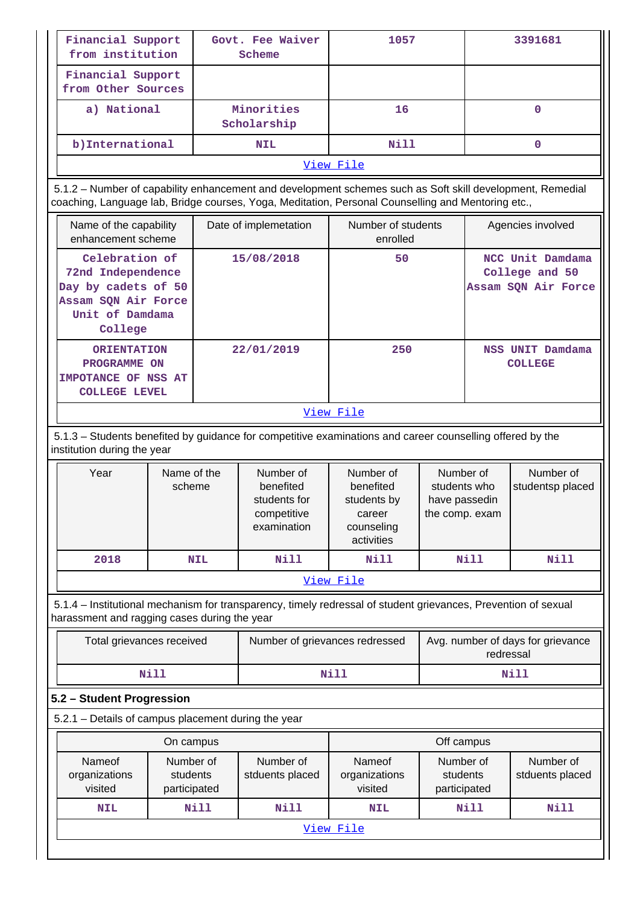| Financial Support<br>from institution                                                                           |                                       |            | Govt. Fee Waiver<br>Scheme                                                                                                                                                                                      | 3391681<br>1057                                                                  |                                                                           |                                                                       |                   |
|-----------------------------------------------------------------------------------------------------------------|---------------------------------------|------------|-----------------------------------------------------------------------------------------------------------------------------------------------------------------------------------------------------------------|----------------------------------------------------------------------------------|---------------------------------------------------------------------------|-----------------------------------------------------------------------|-------------------|
| Financial Support<br>from Other Sources                                                                         |                                       |            |                                                                                                                                                                                                                 |                                                                                  |                                                                           |                                                                       |                   |
| a) National                                                                                                     |                                       |            | Minorities<br>Scholarship                                                                                                                                                                                       | 16                                                                               |                                                                           | $\mathbf 0$                                                           |                   |
| b) International                                                                                                |                                       |            | <b>NIL</b>                                                                                                                                                                                                      | Nill                                                                             |                                                                           |                                                                       | 0                 |
|                                                                                                                 |                                       |            |                                                                                                                                                                                                                 | View File                                                                        |                                                                           |                                                                       |                   |
|                                                                                                                 |                                       |            | 5.1.2 - Number of capability enhancement and development schemes such as Soft skill development, Remedial<br>coaching, Language lab, Bridge courses, Yoga, Meditation, Personal Counselling and Mentoring etc., |                                                                                  |                                                                           |                                                                       |                   |
| Name of the capability<br>enhancement scheme                                                                    |                                       |            | Date of implemetation                                                                                                                                                                                           | Number of students<br>enrolled                                                   |                                                                           |                                                                       | Agencies involved |
| Celebration of<br>72nd Independence<br>Day by cadets of 50<br>Assam SQN Air Force<br>Unit of Damdama<br>College |                                       |            | 15/08/2018                                                                                                                                                                                                      | NCC Unit Damdama<br>50<br>College and 50<br>Assam SQN Air Force                  |                                                                           |                                                                       |                   |
| <b>ORIENTATION</b><br>PROGRAMME ON<br><b>IMPOTANCE OF NSS AT</b><br><b>COLLEGE LEVEL</b>                        |                                       |            | 22/01/2019                                                                                                                                                                                                      | 250                                                                              | NSS UNIT Damdama<br><b>COLLEGE</b>                                        |                                                                       |                   |
|                                                                                                                 |                                       |            |                                                                                                                                                                                                                 | View File                                                                        |                                                                           |                                                                       |                   |
| institution during the year                                                                                     |                                       |            | 5.1.3 - Students benefited by guidance for competitive examinations and career counselling offered by the                                                                                                       |                                                                                  |                                                                           |                                                                       |                   |
| Year                                                                                                            | Name of the<br>scheme                 |            | Number of<br>benefited<br>students for<br>competitive<br>examination                                                                                                                                            | Number of<br>benefited<br>students by<br>career<br>counseling<br>activities      | Number of<br>Number of<br>students who<br>have passedin<br>the comp. exam |                                                                       | studentsp placed  |
| 2018                                                                                                            |                                       | <b>NIL</b> | <b>Nill</b>                                                                                                                                                                                                     | <b>Nill</b>                                                                      |                                                                           | <b>Nill</b>                                                           | Nill              |
|                                                                                                                 |                                       |            |                                                                                                                                                                                                                 | View File                                                                        |                                                                           |                                                                       |                   |
| harassment and ragging cases during the year                                                                    |                                       |            | 5.1.4 - Institutional mechanism for transparency, timely redressal of student grievances, Prevention of sexual                                                                                                  |                                                                                  |                                                                           |                                                                       |                   |
| Total grievances received                                                                                       |                                       |            |                                                                                                                                                                                                                 | Avg. number of days for grievance<br>Number of grievances redressed<br>redressal |                                                                           |                                                                       |                   |
|                                                                                                                 | <b>Nill</b>                           |            |                                                                                                                                                                                                                 | <b>Nill</b><br>Nill                                                              |                                                                           |                                                                       |                   |
| 5.2 - Student Progression                                                                                       |                                       |            |                                                                                                                                                                                                                 |                                                                                  |                                                                           |                                                                       |                   |
| 5.2.1 - Details of campus placement during the year                                                             |                                       |            |                                                                                                                                                                                                                 |                                                                                  |                                                                           |                                                                       |                   |
|                                                                                                                 | On campus                             |            |                                                                                                                                                                                                                 |                                                                                  | Off campus                                                                |                                                                       |                   |
| Nameof<br>organizations<br>visited                                                                              | Number of<br>students<br>participated |            | Number of<br>stduents placed                                                                                                                                                                                    | Nameof<br>organizations<br>visited                                               |                                                                           | Number of<br>Number of<br>students<br>stduents placed<br>participated |                   |
| <b>NIL</b>                                                                                                      |                                       | Nill       | Nill                                                                                                                                                                                                            | <b>NIL</b>                                                                       |                                                                           | <b>Nill</b>                                                           | <b>Nill</b>       |
|                                                                                                                 |                                       |            |                                                                                                                                                                                                                 | View File                                                                        |                                                                           |                                                                       |                   |
|                                                                                                                 |                                       |            |                                                                                                                                                                                                                 |                                                                                  |                                                                           |                                                                       |                   |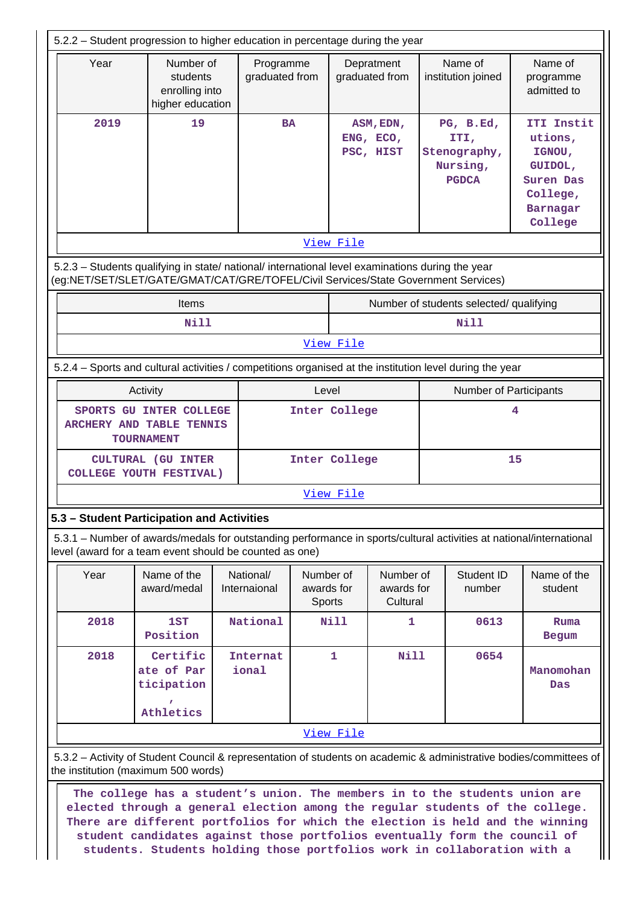|      | 5.2.2 - Student progression to higher education in percentage during the year                                                                                                          |                             |                                   |                                     |                                     |                          |                                                               |                                                                                            |  |
|------|----------------------------------------------------------------------------------------------------------------------------------------------------------------------------------------|-----------------------------|-----------------------------------|-------------------------------------|-------------------------------------|--------------------------|---------------------------------------------------------------|--------------------------------------------------------------------------------------------|--|
| Year | Number of<br>students<br>enrolling into<br>higher education                                                                                                                            | Programme<br>graduated from |                                   |                                     | Depratment<br>graduated from        |                          | Name of<br>institution joined                                 | Name of<br>programme<br>admitted to                                                        |  |
| 2019 | 19                                                                                                                                                                                     | <b>BA</b>                   |                                   | ASM, EDN,<br>ENG, ECO,<br>PSC, HIST |                                     |                          | PG, B.Ed,<br>ITI,<br>Stenography,<br>Nursing,<br><b>PGDCA</b> | ITI Instit<br>utions,<br>IGNOU,<br>GUIDOL,<br>Suren Das<br>College,<br>Barnagar<br>College |  |
|      |                                                                                                                                                                                        |                             |                                   | View File                           |                                     |                          |                                                               |                                                                                            |  |
|      | 5.2.3 - Students qualifying in state/ national/ international level examinations during the year<br>(eg:NET/SET/SLET/GATE/GMAT/CAT/GRE/TOFEL/Civil Services/State Government Services) |                             |                                   |                                     |                                     |                          |                                                               |                                                                                            |  |
|      | <b>Items</b>                                                                                                                                                                           |                             |                                   |                                     |                                     |                          | Number of students selected/ qualifying                       |                                                                                            |  |
|      | <b>Nill</b>                                                                                                                                                                            |                             |                                   |                                     |                                     |                          | <b>Nill</b>                                                   |                                                                                            |  |
|      |                                                                                                                                                                                        |                             |                                   | View File                           |                                     |                          |                                                               |                                                                                            |  |
|      | 5.2.4 - Sports and cultural activities / competitions organised at the institution level during the year                                                                               |                             |                                   |                                     |                                     |                          |                                                               |                                                                                            |  |
|      | Activity                                                                                                                                                                               |                             | Level                             |                                     |                                     |                          | <b>Number of Participants</b>                                 |                                                                                            |  |
|      | SPORTS GU INTER COLLEGE<br>ARCHERY AND TABLE TENNIS<br><b>TOURNAMENT</b>                                                                                                               |                             |                                   | Inter College                       |                                     |                          | 4                                                             |                                                                                            |  |
|      | <b>CULTURAL (GU INTER</b><br>COLLEGE YOUTH FESTIVAL)                                                                                                                                   |                             |                                   | Inter College                       |                                     | 15                       |                                                               |                                                                                            |  |
|      |                                                                                                                                                                                        |                             |                                   | View File                           |                                     |                          |                                                               |                                                                                            |  |
|      | 5.3 - Student Participation and Activities                                                                                                                                             |                             |                                   |                                     |                                     |                          |                                                               |                                                                                            |  |
|      | 5.3.1 - Number of awards/medals for outstanding performance in sports/cultural activities at national/international<br>level (award for a team event should be counted as one)         |                             |                                   |                                     |                                     |                          |                                                               |                                                                                            |  |
| Year | Name of the<br>award/medal                                                                                                                                                             | National/<br>Internaional   | Number of<br>awards for<br>Sports |                                     | Number of<br>awards for<br>Cultural |                          | Student ID<br>number                                          | Name of the<br>student                                                                     |  |
| 2018 | 1ST<br>Position                                                                                                                                                                        | National                    |                                   | <b>Nill</b>                         | $\mathbf{1}$                        |                          | 0613                                                          | Ruma<br><b>Begum</b>                                                                       |  |
| 2018 | Certific<br>ate of Par<br>ticipation<br>Athletics                                                                                                                                      | <b>Internat</b><br>ional    |                                   | $\mathbf{1}$                        | <b>Nill</b>                         | 0654<br>Manomohan<br>Das |                                                               |                                                                                            |  |
|      |                                                                                                                                                                                        |                             |                                   | View File                           |                                     |                          |                                                               |                                                                                            |  |
|      | 5.3.2 - Activity of Student Council & representation of students on academic & administrative bodies/committees of<br>the institution (maximum 500 words)                              |                             |                                   |                                     |                                     |                          |                                                               |                                                                                            |  |
|      | The college has a student's union. The members in to the students union are<br>elected through a general election among the regular students of the college.                           |                             |                                   |                                     |                                     |                          |                                                               |                                                                                            |  |

**There are different portfolios for which the election is held and the winning student candidates against those portfolios eventually form the council of students. Students holding those portfolios work in collaboration with a**

 $\mathbb I$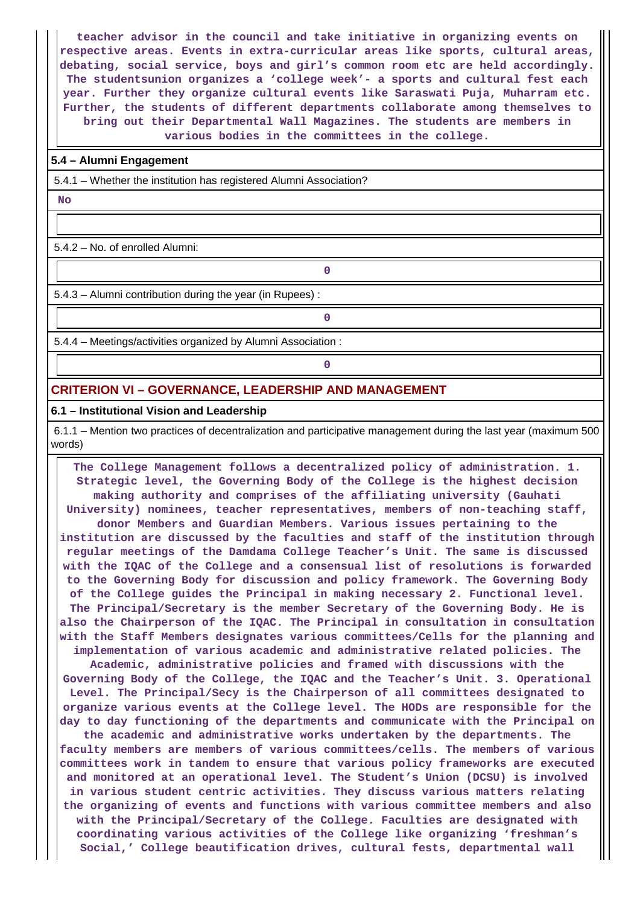**teacher advisor in the council and take initiative in organizing events on respective areas. Events in extra-curricular areas like sports, cultural areas, debating, social service, boys and girl's common room etc are held accordingly. The studentsunion organizes a 'college week'- a sports and cultural fest each year. Further they organize cultural events like Saraswati Puja, Muharram etc. Further, the students of different departments collaborate among themselves to bring out their Departmental Wall Magazines. The students are members in various bodies in the committees in the college.**

#### **5.4 – Alumni Engagement**

5.4.1 – Whether the institution has registered Alumni Association?

 **No**

5.4.2 – No. of enrolled Alumni:

5.4.3 – Alumni contribution during the year (in Rupees) :

**0**

**0**

**0**

5.4.4 – Meetings/activities organized by Alumni Association :

## **CRITERION VI – GOVERNANCE, LEADERSHIP AND MANAGEMENT**

#### **6.1 – Institutional Vision and Leadership**

 6.1.1 – Mention two practices of decentralization and participative management during the last year (maximum 500 words)

 **The College Management follows a decentralized policy of administration. 1. Strategic level, the Governing Body of the College is the highest decision making authority and comprises of the affiliating university (Gauhati University) nominees, teacher representatives, members of non-teaching staff, donor Members and Guardian Members. Various issues pertaining to the institution are discussed by the faculties and staff of the institution through regular meetings of the Damdama College Teacher's Unit. The same is discussed with the IQAC of the College and a consensual list of resolutions is forwarded to the Governing Body for discussion and policy framework. The Governing Body of the College guides the Principal in making necessary 2. Functional level. The Principal/Secretary is the member Secretary of the Governing Body. He is also the Chairperson of the IQAC. The Principal in consultation in consultation with the Staff Members designates various committees/Cells for the planning and implementation of various academic and administrative related policies. The**

**Academic, administrative policies and framed with discussions with the Governing Body of the College, the IQAC and the Teacher's Unit. 3. Operational Level. The Principal/Secy is the Chairperson of all committees designated to organize various events at the College level. The HODs are responsible for the day to day functioning of the departments and communicate with the Principal on the academic and administrative works undertaken by the departments. The faculty members are members of various committees/cells. The members of various committees work in tandem to ensure that various policy frameworks are executed and monitored at an operational level. The Student's Union (DCSU) is involved**

**in various student centric activities. They discuss various matters relating the organizing of events and functions with various committee members and also with the Principal/Secretary of the College. Faculties are designated with coordinating various activities of the College like organizing 'freshman's Social,' College beautification drives, cultural fests, departmental wall**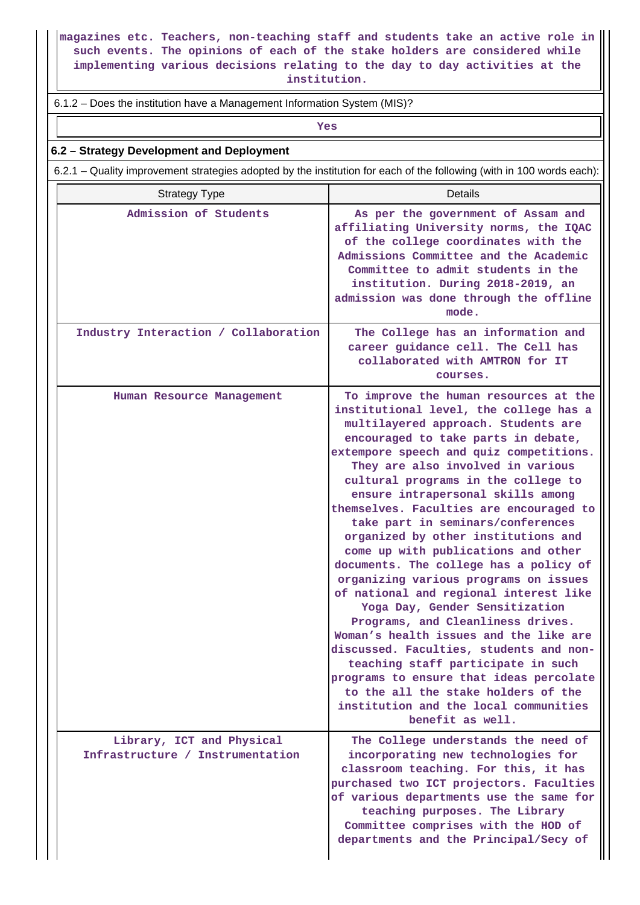**magazines etc. Teachers, non-teaching staff and students take an active role in such events. The opinions of each of the stake holders are considered while implementing various decisions relating to the day to day activities at the institution.**

#### 6.1.2 – Does the institution have a Management Information System (MIS)?

*Yes* 

#### **6.2 – Strategy Development and Deployment**

6.2.1 – Quality improvement strategies adopted by the institution for each of the following (with in 100 words each):

| <b>Strategy Type</b>                                          | Details                                                                                                                                                                                                                                                                                                                                                                                                                                                                                                                                                                                                                                                                                                                                                                                                                                                                                                                                                               |
|---------------------------------------------------------------|-----------------------------------------------------------------------------------------------------------------------------------------------------------------------------------------------------------------------------------------------------------------------------------------------------------------------------------------------------------------------------------------------------------------------------------------------------------------------------------------------------------------------------------------------------------------------------------------------------------------------------------------------------------------------------------------------------------------------------------------------------------------------------------------------------------------------------------------------------------------------------------------------------------------------------------------------------------------------|
| Admission of Students                                         | As per the government of Assam and<br>affiliating University norms, the IQAC<br>of the college coordinates with the<br>Admissions Committee and the Academic<br>Committee to admit students in the<br>institution. During 2018-2019, an<br>admission was done through the offline<br>mode.                                                                                                                                                                                                                                                                                                                                                                                                                                                                                                                                                                                                                                                                            |
| Industry Interaction / Collaboration                          | The College has an information and<br>career guidance cell. The Cell has<br>collaborated with AMTRON for IT<br>courses.                                                                                                                                                                                                                                                                                                                                                                                                                                                                                                                                                                                                                                                                                                                                                                                                                                               |
| Human Resource Management                                     | To improve the human resources at the<br>institutional level, the college has a<br>multilayered approach. Students are<br>encouraged to take parts in debate,<br>extempore speech and quiz competitions.<br>They are also involved in various<br>cultural programs in the college to<br>ensure intrapersonal skills among<br>themselves. Faculties are encouraged to<br>take part in seminars/conferences<br>organized by other institutions and<br>come up with publications and other<br>documents. The college has a policy of<br>organizing various programs on issues<br>of national and regional interest like<br>Yoga Day, Gender Sensitization<br>Programs, and Cleanliness drives.<br>Woman's health issues and the like are<br>discussed. Faculties, students and non-<br>teaching staff participate in such<br>programs to ensure that ideas percolate<br>to the all the stake holders of the<br>institution and the local communities<br>benefit as well. |
| Library, ICT and Physical<br>Infrastructure / Instrumentation | The College understands the need of<br>incorporating new technologies for<br>classroom teaching. For this, it has<br>purchased two ICT projectors. Faculties<br>of various departments use the same for<br>teaching purposes. The Library<br>Committee comprises with the HOD of<br>departments and the Principal/Secy of                                                                                                                                                                                                                                                                                                                                                                                                                                                                                                                                                                                                                                             |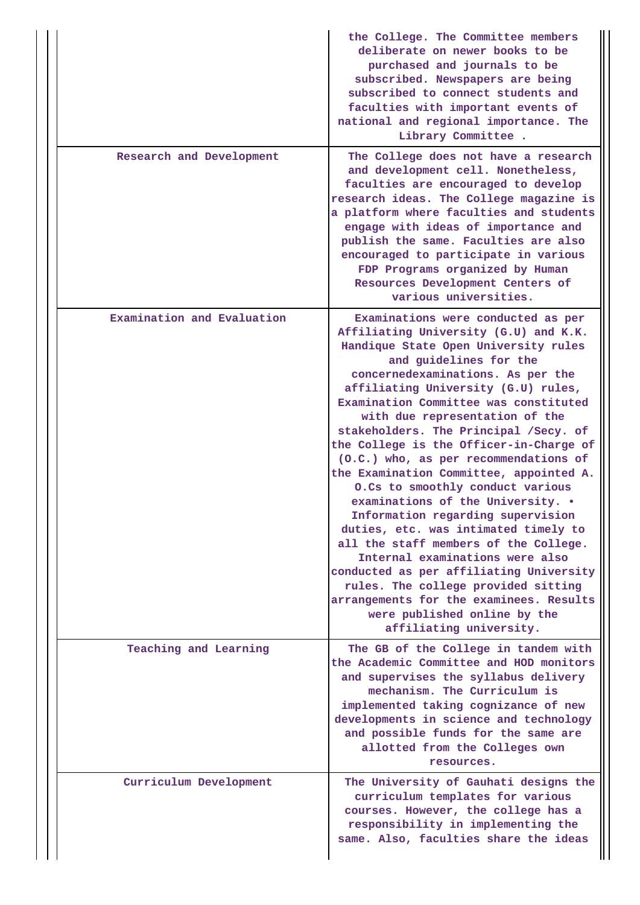|                            | the College. The Committee members<br>deliberate on newer books to be<br>purchased and journals to be<br>subscribed. Newspapers are being<br>subscribed to connect students and<br>faculties with important events of<br>national and regional importance. The<br>Library Committee.                                                                                                                                                                                                                                                                                                                                                                                                                                                                                                                                                                                                                   |
|----------------------------|--------------------------------------------------------------------------------------------------------------------------------------------------------------------------------------------------------------------------------------------------------------------------------------------------------------------------------------------------------------------------------------------------------------------------------------------------------------------------------------------------------------------------------------------------------------------------------------------------------------------------------------------------------------------------------------------------------------------------------------------------------------------------------------------------------------------------------------------------------------------------------------------------------|
| Research and Development   | The College does not have a research<br>and development cell. Nonetheless,<br>faculties are encouraged to develop<br>research ideas. The College magazine is<br>a platform where faculties and students<br>engage with ideas of importance and<br>publish the same. Faculties are also<br>encouraged to participate in various<br>FDP Programs organized by Human<br>Resources Development Centers of<br>various universities.                                                                                                                                                                                                                                                                                                                                                                                                                                                                         |
| Examination and Evaluation | Examinations were conducted as per<br>Affiliating University (G.U) and K.K.<br>Handique State Open University rules<br>and guidelines for the<br>concernedexaminations. As per the<br>affiliating University (G.U) rules,<br>Examination Committee was constituted<br>with due representation of the<br>stakeholders. The Principal /Secy. of<br>the College is the Officer-in-Charge of<br>(O.C.) who, as per recommendations of<br>the Examination Committee, appointed A.<br>0.Cs to smoothly conduct various<br>examinations of the University. .<br>Information regarding supervision<br>duties, etc. was intimated timely to<br>all the staff members of the College.<br>Internal examinations were also<br>conducted as per affiliating University<br>rules. The college provided sitting<br>arrangements for the examinees. Results<br>were published online by the<br>affiliating university. |
| Teaching and Learning      | The GB of the College in tandem with<br>the Academic Committee and HOD monitors<br>and supervises the syllabus delivery<br>mechanism. The Curriculum is<br>implemented taking cognizance of new<br>developments in science and technology<br>and possible funds for the same are<br>allotted from the Colleges own<br>resources.                                                                                                                                                                                                                                                                                                                                                                                                                                                                                                                                                                       |
| Curriculum Development     | The University of Gauhati designs the<br>curriculum templates for various<br>courses. However, the college has a<br>responsibility in implementing the<br>same. Also, faculties share the ideas                                                                                                                                                                                                                                                                                                                                                                                                                                                                                                                                                                                                                                                                                                        |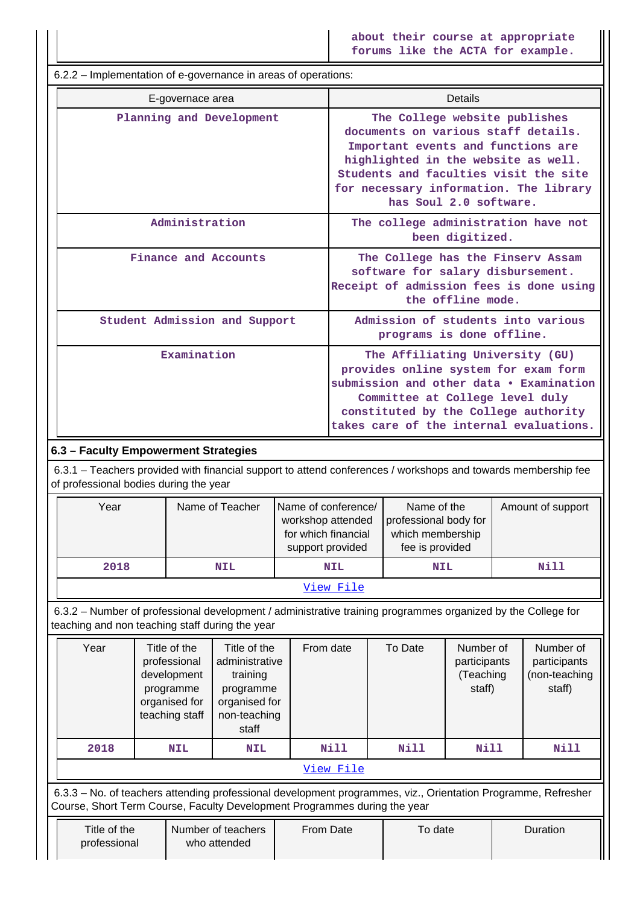**about their course at appropriate forums like the ACTA for example.**

 6.2.2 – Implementation of e-governance in areas of operations: E-governace area **Details Planning and Development The College website publishes documents on various staff details. Important events and functions are highlighted in the website as well. Students and faculties visit the site for necessary information. The library has Soul 2.0 software. Administration The college administration have not been digitized. Finance and Accounts The College has the Finserv Assam software for salary disbursement. Receipt of admission fees is done using the offline mode. Student Admission and Support Admission of students into various programs is done offline. Examination** The Affiliating University (GU) **provides online system for exam form submission and other data • Examination Committee at College level duly constituted by the College authority takes care of the internal evaluations. 6.3 – Faculty Empowerment Strategies** 6.3.1 – Teachers provided with financial support to attend conferences / workshops and towards membership fee of professional bodies during the year Year I Name of Teacher Name of conference/ workshop attended for which financial support provided Name of the professional body for which membership fee is provided Amount of support  **2018 NIL NIL NIL Nill** [View File](https://assessmentonline.naac.gov.in/public/Postacc/Faculty_Emp/13370_Faculty_Emp_1630146864.xlsx) 6.3.2 – Number of professional development / administrative training programmes organized by the College for teaching and non teaching staff during the year Year | Title of the professional development programme organised for teaching staff Title of the administrative training programme organised for non-teaching staff From date | To Date | Number of participants (Teaching staff) Number of participants (non-teaching staff)  **2018 NIL NIL Nill Nill Nill Nill** [View File](https://assessmentonline.naac.gov.in/public/Postacc/Development_training_programmes/13370_Development_training_programmes_1630147019.xlsx) 6.3.3 – No. of teachers attending professional development programmes, viz., Orientation Programme, Refresher Course, Short Term Course, Faculty Development Programmes during the year Title of the professional Number of teachers who attended From Date | To date | Duration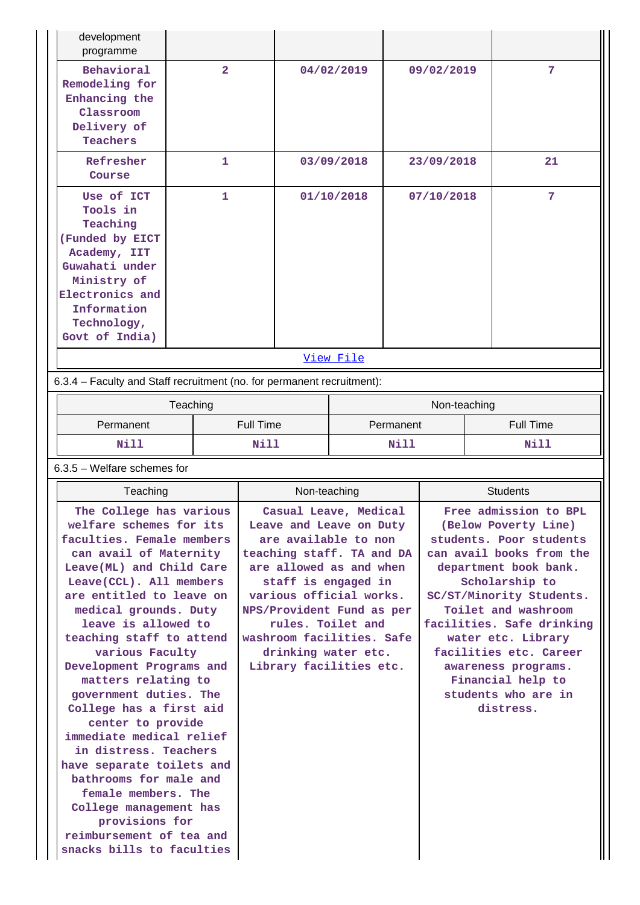| development<br>programme                                                                                                                                                  |                |            |            |    |
|---------------------------------------------------------------------------------------------------------------------------------------------------------------------------|----------------|------------|------------|----|
| Behavioral<br>Remodeling for<br>Enhancing the<br>Classroom<br>Delivery of<br>Teachers                                                                                     | $\overline{2}$ | 04/02/2019 | 09/02/2019 | 7  |
| Refresher<br>Course                                                                                                                                                       | 1              | 03/09/2018 | 23/09/2018 | 21 |
| Use of ICT<br>Tools in<br>Teaching<br>(Funded by EICT<br>Academy, IIT<br>Guwahati under<br>Ministry of<br>Electronics and<br>Information<br>Technology,<br>Govt of India) | 1              | 01/10/2018 | 07/10/2018 | 7  |
|                                                                                                                                                                           |                | View File  |            |    |
| 6.3.4 – Faculty and Staff recruitment (no. for permanent recruitment):                                                                                                    |                |            |            |    |

|             | Teaching         | Non-teaching |           |  |
|-------------|------------------|--------------|-----------|--|
| Permanent   | <b>Full Time</b> | Permanent    | Full Time |  |
| <b>Nill</b> | Nill             | Nill         | Nill      |  |

6.3.5 – Welfare schemes for

| Teaching                                                                                                                                                                                                                                                                                                                                                                                                                                                                                                                                                                                                                                                          | Non-teaching                                                                                                                                                                                                                                                                                                        | <b>Students</b>                                                                                                                                                                                                                                                                                                                                                 |
|-------------------------------------------------------------------------------------------------------------------------------------------------------------------------------------------------------------------------------------------------------------------------------------------------------------------------------------------------------------------------------------------------------------------------------------------------------------------------------------------------------------------------------------------------------------------------------------------------------------------------------------------------------------------|---------------------------------------------------------------------------------------------------------------------------------------------------------------------------------------------------------------------------------------------------------------------------------------------------------------------|-----------------------------------------------------------------------------------------------------------------------------------------------------------------------------------------------------------------------------------------------------------------------------------------------------------------------------------------------------------------|
| The College has various<br>welfare schemes for its<br>faculties. Female members<br>can avail of Maternity<br>Leave (ML) and Child Care<br>Leave(CCL). All members<br>are entitled to leave on<br>medical grounds. Duty<br>leave is allowed to<br>teaching staff to attend<br>various Faculty<br>Development Programs and<br>matters relating to<br>government duties. The<br>College has a first aid<br>center to provide<br>immediate medical relief<br>in distress. Teachers<br>have separate toilets and<br>bathrooms for male and<br>female members. The<br>College management has<br>provisions for<br>reimbursement of tea and<br>snacks bills to faculties | Casual Leave, Medical<br>Leave and Leave on Duty<br>are available to non<br>teaching staff. TA and DA<br>are allowed as and when<br>staff is engaged in<br>various official works.<br>NPS/Provident Fund as per<br>rules. Toilet and<br>washroom facilities. Safe<br>drinking water etc.<br>Library facilities etc. | Free admission to BPL<br>(Below Poverty Line)<br>students. Poor students<br>can avail books from the<br>department book bank.<br>Scholarship to<br>SC/ST/Minority Students.<br>Toilet and washroom<br>facilities. Safe drinking<br>water etc. Library<br>facilities etc. Career<br>awareness programs.<br>Financial help to<br>students who are in<br>distress. |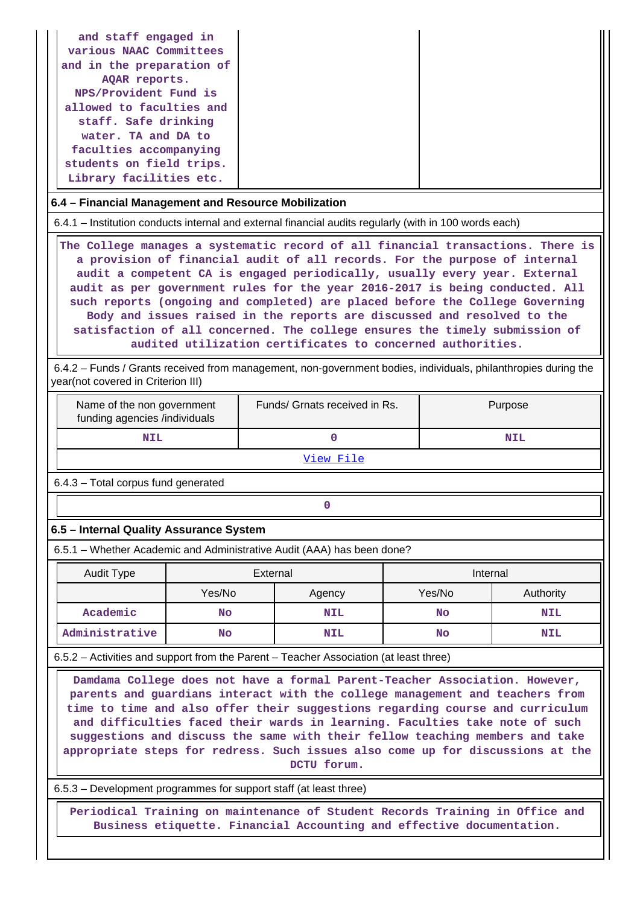| and staff engaged in<br>various NAAC Committees<br>and in the preparation of<br>AQAR reports.<br>NPS/Provident Fund is<br>allowed to faculties and<br>staff. Safe drinking<br>water. TA and DA to |
|---------------------------------------------------------------------------------------------------------------------------------------------------------------------------------------------------|
| faculties accompanying<br>students on field trips.<br>Library facilities etc.                                                                                                                     |

#### **6.4 – Financial Management and Resource Mobilization**

6.4.1 – Institution conducts internal and external financial audits regularly (with in 100 words each)

 **The College manages a systematic record of all financial transactions. There is a provision of financial audit of all records. For the purpose of internal audit a competent CA is engaged periodically, usually every year. External audit as per government rules for the year 2016-2017 is being conducted. All such reports (ongoing and completed) are placed before the College Governing Body and issues raised in the reports are discussed and resolved to the satisfaction of all concerned. The college ensures the timely submission of audited utilization certificates to concerned authorities.**

 6.4.2 – Funds / Grants received from management, non-government bodies, individuals, philanthropies during the year(not covered in Criterion III)

| Name of the non government<br>funding agencies /individuals | Funds/ Grnats received in Rs. | Purpose    |  |  |
|-------------------------------------------------------------|-------------------------------|------------|--|--|
| NIL                                                         |                               | <b>NIL</b> |  |  |

[View File](https://assessmentonline.naac.gov.in/public/Postacc/Funds_or_Grants/13370_Funds_or_Grants_1630147648.xlsx)

6.4.3 – Total corpus fund generated

## **0**

## **6.5 – Internal Quality Assurance System**

6.5.1 – Whether Academic and Administrative Audit (AAA) has been done?

| Audit Type     | External  |            | Internal |            |  |
|----------------|-----------|------------|----------|------------|--|
|                | Yes/No    | Agency     |          | Authority  |  |
| Academic       | <b>No</b> | <b>NIL</b> | No       | <b>NIL</b> |  |
| Administrative | No        | <b>NIL</b> | No       | <b>NIL</b> |  |

6.5.2 – Activities and support from the Parent – Teacher Association (at least three)

 **Damdama College does not have a formal Parent-Teacher Association. However, parents and guardians interact with the college management and teachers from time to time and also offer their suggestions regarding course and curriculum and difficulties faced their wards in learning. Faculties take note of such suggestions and discuss the same with their fellow teaching members and take appropriate steps for redress. Such issues also come up for discussions at the DCTU forum.**

6.5.3 – Development programmes for support staff (at least three)

 **Periodical Training on maintenance of Student Records Training in Office and Business etiquette. Financial Accounting and effective documentation.**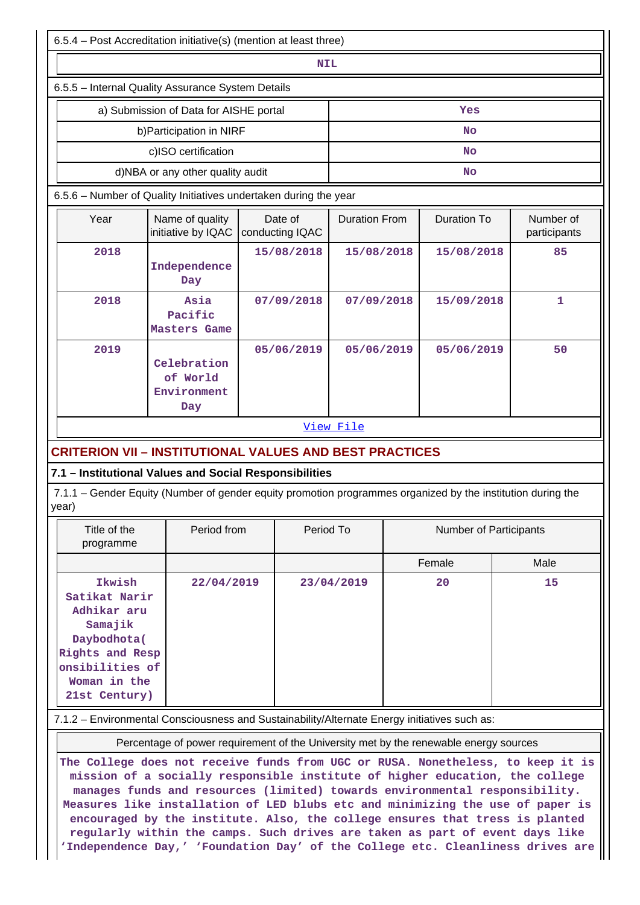| 6.5.4 - Post Accreditation initiative(s) (mention at least three)                                                                                                                                                                                                                                                                                                                                                |                                               |                            |            |                      |           |                               |      |                           |  |  |
|------------------------------------------------------------------------------------------------------------------------------------------------------------------------------------------------------------------------------------------------------------------------------------------------------------------------------------------------------------------------------------------------------------------|-----------------------------------------------|----------------------------|------------|----------------------|-----------|-------------------------------|------|---------------------------|--|--|
| <b>NIL</b>                                                                                                                                                                                                                                                                                                                                                                                                       |                                               |                            |            |                      |           |                               |      |                           |  |  |
| 6.5.5 - Internal Quality Assurance System Details                                                                                                                                                                                                                                                                                                                                                                |                                               |                            |            |                      |           |                               |      |                           |  |  |
|                                                                                                                                                                                                                                                                                                                                                                                                                  | a) Submission of Data for AISHE portal        |                            | Yes        |                      |           |                               |      |                           |  |  |
|                                                                                                                                                                                                                                                                                                                                                                                                                  | b) Participation in NIRF                      |                            | No         |                      |           |                               |      |                           |  |  |
|                                                                                                                                                                                                                                                                                                                                                                                                                  | c)ISO certification                           | No                         |            |                      |           |                               |      |                           |  |  |
|                                                                                                                                                                                                                                                                                                                                                                                                                  | d)NBA or any other quality audit              |                            |            |                      | <b>No</b> |                               |      |                           |  |  |
| 6.5.6 - Number of Quality Initiatives undertaken during the year                                                                                                                                                                                                                                                                                                                                                 |                                               |                            |            |                      |           |                               |      |                           |  |  |
| Year                                                                                                                                                                                                                                                                                                                                                                                                             | Name of quality<br>initiative by IQAC         | Date of<br>conducting IQAC |            | <b>Duration From</b> |           | <b>Duration To</b>            |      | Number of<br>participants |  |  |
| 2018                                                                                                                                                                                                                                                                                                                                                                                                             | Independence<br>Day                           |                            | 15/08/2018 | 15/08/2018           |           | 15/08/2018                    |      | 85                        |  |  |
| 2018                                                                                                                                                                                                                                                                                                                                                                                                             | Asia<br>Pacific<br>Masters Game               |                            | 07/09/2018 | 07/09/2018           |           | 15/09/2018                    |      | 1                         |  |  |
| 2019                                                                                                                                                                                                                                                                                                                                                                                                             | Celebration<br>of World<br>Environment<br>Day | 05/06/2019                 |            | 05/06/2019           |           | 05/06/2019                    |      | 50                        |  |  |
|                                                                                                                                                                                                                                                                                                                                                                                                                  |                                               |                            |            | View File            |           |                               |      |                           |  |  |
| <b>CRITERION VII – INSTITUTIONAL VALUES AND BEST PRACTICES</b>                                                                                                                                                                                                                                                                                                                                                   |                                               |                            |            |                      |           |                               |      |                           |  |  |
| 7.1 - Institutional Values and Social Responsibilities<br>7.1.1 – Gender Equity (Number of gender equity promotion programmes organized by the institution during the                                                                                                                                                                                                                                            |                                               |                            |            |                      |           |                               |      |                           |  |  |
| year)                                                                                                                                                                                                                                                                                                                                                                                                            |                                               |                            |            |                      |           |                               |      |                           |  |  |
| Title of the<br>programme                                                                                                                                                                                                                                                                                                                                                                                        | Period from                                   |                            | Period To  |                      |           | <b>Number of Participants</b> |      |                           |  |  |
|                                                                                                                                                                                                                                                                                                                                                                                                                  |                                               |                            |            |                      |           | Female                        | Male |                           |  |  |
| Ikwish<br>22/04/2019<br>Satikat Narir<br>Adhikar aru<br>Samajik<br>Daybodhota(<br>Rights and Resp<br>onsibilities of<br>Woman in the<br>21st Century)                                                                                                                                                                                                                                                            |                                               |                            | 23/04/2019 |                      | 20        |                               | 15   |                           |  |  |
| 7.1.2 - Environmental Consciousness and Sustainability/Alternate Energy initiatives such as:                                                                                                                                                                                                                                                                                                                     |                                               |                            |            |                      |           |                               |      |                           |  |  |
| Percentage of power requirement of the University met by the renewable energy sources                                                                                                                                                                                                                                                                                                                            |                                               |                            |            |                      |           |                               |      |                           |  |  |
| The College does not receive funds from UGC or RUSA. Nonetheless, to keep it is<br>mission of a socially responsible institute of higher education, the college<br>manages funds and resources (limited) towards environmental responsibility.<br>Measures like installation of LED blubs etc and minimizing the use of paper is<br>encouraged by the institute. Also, the college ensures that tress is planted |                                               |                            |            |                      |           |                               |      |                           |  |  |

**regularly within the camps. Such drives are taken as part of event days like 'Independence Day,' 'Foundation Day' of the College etc. Cleanliness drives are**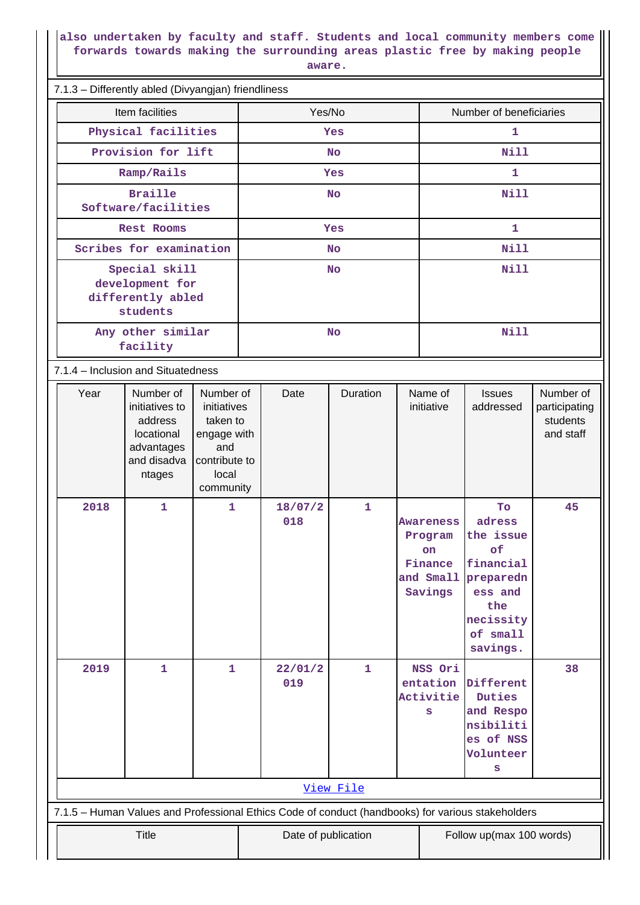**also undertaken by faculty and staff. Students and local community members come forwards towards making the surrounding areas plastic free by making people aware.**

| 7.1.3 - Differently abled (Divyangjan) friendliness                                               |                                                          |                                    |                         |           |         |              |                         |                       |                        |                           |
|---------------------------------------------------------------------------------------------------|----------------------------------------------------------|------------------------------------|-------------------------|-----------|---------|--------------|-------------------------|-----------------------|------------------------|---------------------------|
|                                                                                                   |                                                          | Item facilities                    |                         | Yes/No    |         |              | Number of beneficiaries |                       |                        |                           |
|                                                                                                   |                                                          | Physical facilities                |                         | Yes       |         |              | 1                       |                       |                        |                           |
|                                                                                                   |                                                          | Provision for lift                 |                         | <b>No</b> |         |              | <b>Nill</b>             |                       |                        |                           |
|                                                                                                   |                                                          | Ramp/Rails                         |                         | Yes       |         |              |                         | 1                     |                        |                           |
|                                                                                                   |                                                          | <b>Braille</b>                     |                         |           |         | <b>No</b>    |                         | Nill                  |                        |                           |
|                                                                                                   |                                                          | Software/facilities                |                         |           |         |              |                         |                       |                        |                           |
|                                                                                                   |                                                          | Rest Rooms                         |                         | Yes       |         |              |                         | $\mathbf{1}$          |                        |                           |
|                                                                                                   |                                                          | Scribes for examination            |                         | <b>No</b> |         |              |                         | <b>Nill</b>           |                        |                           |
|                                                                                                   |                                                          | Special skill<br>development for   |                         |           |         | <b>No</b>    |                         | <b>Nill</b>           |                        |                           |
|                                                                                                   |                                                          | differently abled                  |                         |           |         |              |                         |                       |                        |                           |
|                                                                                                   |                                                          | students                           |                         |           |         |              |                         |                       |                        |                           |
|                                                                                                   | Any other similar<br>facility                            |                                    |                         | <b>No</b> |         |              | Nill                    |                       |                        |                           |
|                                                                                                   |                                                          | 7.1.4 – Inclusion and Situatedness |                         |           |         |              |                         |                       |                        |                           |
|                                                                                                   | Year                                                     | Number of                          | Number of               |           | Date    | Duration     |                         | Name of               | <b>Issues</b>          | Number of                 |
|                                                                                                   |                                                          | initiatives to<br>address          | initiatives<br>taken to |           |         |              |                         | initiative            | addressed              | participating<br>students |
|                                                                                                   |                                                          | locational                         | engage with             |           |         |              |                         |                       |                        | and staff                 |
|                                                                                                   |                                                          | advantages<br>and disadva          | and<br>contribute to    |           |         |              |                         |                       |                        |                           |
|                                                                                                   |                                                          | ntages                             | local                   |           |         |              |                         |                       |                        |                           |
|                                                                                                   | 2018                                                     | $\mathbf{1}$                       | community<br>1          |           | 18/07/2 | 1            |                         |                       | To                     | 45                        |
|                                                                                                   |                                                          |                                    |                         |           | 018     |              |                         | Awareness             | adress                 |                           |
|                                                                                                   |                                                          |                                    |                         |           |         |              |                         | Program               | the issue<br>of        |                           |
|                                                                                                   |                                                          |                                    |                         |           |         |              |                         | on<br>Finance         | financial              |                           |
|                                                                                                   |                                                          |                                    |                         |           |         |              |                         | and Small             | preparedn              |                           |
|                                                                                                   |                                                          |                                    |                         |           |         |              |                         | Savings               | ess and<br>the         |                           |
|                                                                                                   |                                                          |                                    |                         |           |         |              |                         |                       | necissity              |                           |
|                                                                                                   |                                                          |                                    |                         |           |         |              |                         |                       | of small<br>savings.   |                           |
|                                                                                                   | 2019                                                     | $\mathbf{1}$                       | 1                       |           | 22/01/2 | $\mathbf{1}$ |                         | NSS Ori               |                        | 38                        |
|                                                                                                   |                                                          |                                    |                         |           | 019     |              |                         | entation<br>Activitie | Different<br>Duties    |                           |
|                                                                                                   |                                                          |                                    |                         |           |         |              |                         | S                     | and Respo              |                           |
|                                                                                                   |                                                          |                                    |                         |           |         |              |                         |                       | nsibiliti<br>es of NSS |                           |
|                                                                                                   |                                                          |                                    |                         |           |         |              |                         |                       | Volunteer              |                           |
|                                                                                                   |                                                          |                                    |                         |           |         |              |                         | s                     |                        |                           |
| View File                                                                                         |                                                          |                                    |                         |           |         |              |                         |                       |                        |                           |
| 7.1.5 - Human Values and Professional Ethics Code of conduct (handbooks) for various stakeholders |                                                          |                                    |                         |           |         |              |                         |                       |                        |                           |
|                                                                                                   | Title<br>Date of publication<br>Follow up(max 100 words) |                                    |                         |           |         |              |                         |                       |                        |                           |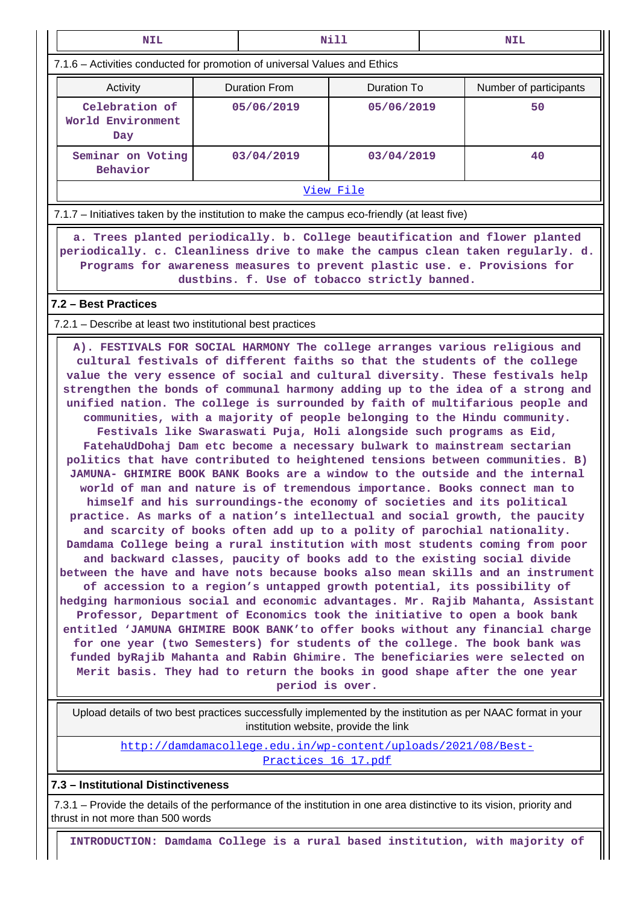| <b>NIL</b>                                                                                                                                                                                                                                                                                                                                                                                                                                                                                                                                                                                                                                                                                                                                                                                                                                                                                                                                                                                                                                                                                                                                                                                                                                                                                                                                                                                                                                                                                                                                                                                                                                                                                                                                                                                                                                                                                                                                                                                                                                      | Nill                                                                                                                                                                                                                                                                                        |                      |                    | <b>NIL</b>             |    |  |  |  |  |  |
|-------------------------------------------------------------------------------------------------------------------------------------------------------------------------------------------------------------------------------------------------------------------------------------------------------------------------------------------------------------------------------------------------------------------------------------------------------------------------------------------------------------------------------------------------------------------------------------------------------------------------------------------------------------------------------------------------------------------------------------------------------------------------------------------------------------------------------------------------------------------------------------------------------------------------------------------------------------------------------------------------------------------------------------------------------------------------------------------------------------------------------------------------------------------------------------------------------------------------------------------------------------------------------------------------------------------------------------------------------------------------------------------------------------------------------------------------------------------------------------------------------------------------------------------------------------------------------------------------------------------------------------------------------------------------------------------------------------------------------------------------------------------------------------------------------------------------------------------------------------------------------------------------------------------------------------------------------------------------------------------------------------------------------------------------|---------------------------------------------------------------------------------------------------------------------------------------------------------------------------------------------------------------------------------------------------------------------------------------------|----------------------|--------------------|------------------------|----|--|--|--|--|--|
| 7.1.6 - Activities conducted for promotion of universal Values and Ethics                                                                                                                                                                                                                                                                                                                                                                                                                                                                                                                                                                                                                                                                                                                                                                                                                                                                                                                                                                                                                                                                                                                                                                                                                                                                                                                                                                                                                                                                                                                                                                                                                                                                                                                                                                                                                                                                                                                                                                       |                                                                                                                                                                                                                                                                                             |                      |                    |                        |    |  |  |  |  |  |
| Activity                                                                                                                                                                                                                                                                                                                                                                                                                                                                                                                                                                                                                                                                                                                                                                                                                                                                                                                                                                                                                                                                                                                                                                                                                                                                                                                                                                                                                                                                                                                                                                                                                                                                                                                                                                                                                                                                                                                                                                                                                                        |                                                                                                                                                                                                                                                                                             | <b>Duration From</b> | <b>Duration To</b> | Number of participants |    |  |  |  |  |  |
| Celebration of<br>World Environment<br>Day                                                                                                                                                                                                                                                                                                                                                                                                                                                                                                                                                                                                                                                                                                                                                                                                                                                                                                                                                                                                                                                                                                                                                                                                                                                                                                                                                                                                                                                                                                                                                                                                                                                                                                                                                                                                                                                                                                                                                                                                      |                                                                                                                                                                                                                                                                                             | 05/06/2019           | 05/06/2019         |                        | 50 |  |  |  |  |  |
| Seminar on Voting<br>Behavior                                                                                                                                                                                                                                                                                                                                                                                                                                                                                                                                                                                                                                                                                                                                                                                                                                                                                                                                                                                                                                                                                                                                                                                                                                                                                                                                                                                                                                                                                                                                                                                                                                                                                                                                                                                                                                                                                                                                                                                                                   |                                                                                                                                                                                                                                                                                             | 03/04/2019           | 40                 |                        |    |  |  |  |  |  |
|                                                                                                                                                                                                                                                                                                                                                                                                                                                                                                                                                                                                                                                                                                                                                                                                                                                                                                                                                                                                                                                                                                                                                                                                                                                                                                                                                                                                                                                                                                                                                                                                                                                                                                                                                                                                                                                                                                                                                                                                                                                 | View File                                                                                                                                                                                                                                                                                   |                      |                    |                        |    |  |  |  |  |  |
|                                                                                                                                                                                                                                                                                                                                                                                                                                                                                                                                                                                                                                                                                                                                                                                                                                                                                                                                                                                                                                                                                                                                                                                                                                                                                                                                                                                                                                                                                                                                                                                                                                                                                                                                                                                                                                                                                                                                                                                                                                                 | 7.1.7 – Initiatives taken by the institution to make the campus eco-friendly (at least five)                                                                                                                                                                                                |                      |                    |                        |    |  |  |  |  |  |
|                                                                                                                                                                                                                                                                                                                                                                                                                                                                                                                                                                                                                                                                                                                                                                                                                                                                                                                                                                                                                                                                                                                                                                                                                                                                                                                                                                                                                                                                                                                                                                                                                                                                                                                                                                                                                                                                                                                                                                                                                                                 | a. Trees planted periodically. b. College beautification and flower planted<br>periodically. c. Cleanliness drive to make the campus clean taken regularly. d.<br>Programs for awareness measures to prevent plastic use. e. Provisions for<br>dustbins. f. Use of tobacco strictly banned. |                      |                    |                        |    |  |  |  |  |  |
| 7.2 - Best Practices                                                                                                                                                                                                                                                                                                                                                                                                                                                                                                                                                                                                                                                                                                                                                                                                                                                                                                                                                                                                                                                                                                                                                                                                                                                                                                                                                                                                                                                                                                                                                                                                                                                                                                                                                                                                                                                                                                                                                                                                                            |                                                                                                                                                                                                                                                                                             |                      |                    |                        |    |  |  |  |  |  |
|                                                                                                                                                                                                                                                                                                                                                                                                                                                                                                                                                                                                                                                                                                                                                                                                                                                                                                                                                                                                                                                                                                                                                                                                                                                                                                                                                                                                                                                                                                                                                                                                                                                                                                                                                                                                                                                                                                                                                                                                                                                 |                                                                                                                                                                                                                                                                                             |                      |                    |                        |    |  |  |  |  |  |
| 7.2.1 – Describe at least two institutional best practices<br>A). FESTIVALS FOR SOCIAL HARMONY The college arranges various religious and<br>cultural festivals of different faiths so that the students of the college<br>value the very essence of social and cultural diversity. These festivals help<br>strengthen the bonds of communal harmony adding up to the idea of a strong and<br>unified nation. The college is surrounded by faith of multifarious people and<br>communities, with a majority of people belonging to the Hindu community.<br>Festivals like Swaraswati Puja, Holi alongside such programs as Eid,<br>FatehaUdDohaj Dam etc become a necessary bulwark to mainstream sectarian<br>politics that have contributed to heightened tensions between communities. B)<br>JAMUNA- GHIMIRE BOOK BANK Books are a window to the outside and the internal<br>world of man and nature is of tremendous importance. Books connect man to<br>himself and his surroundings-the economy of societies and its political<br>practice. As marks of a nation's intellectual and social growth, the paucity<br>and scarcity of books often add up to a polity of parochial nationality.<br>Damdama College being a rural institution with most students coming from poor<br>and backward classes, paucity of books add to the existing social divide<br>between the have and have nots because books also mean skills and an instrument<br>of accession to a region's untapped growth potential, its possibility of<br>hedging harmonious social and economic advantages. Mr. Rajib Mahanta, Assistant<br>Professor, Department of Economics took the initiative to open a book bank<br>entitled 'JAMUNA GHIMIRE BOOK BANK'to offer books without any financial charge<br>for one year (two Semesters) for students of the college. The book bank was<br>funded byRajib Mahanta and Rabin Ghimire. The beneficiaries were selected on<br>Merit basis. They had to return the books in good shape after the one year<br>period is over. |                                                                                                                                                                                                                                                                                             |                      |                    |                        |    |  |  |  |  |  |
| Upload details of two best practices successfully implemented by the institution as per NAAC format in your                                                                                                                                                                                                                                                                                                                                                                                                                                                                                                                                                                                                                                                                                                                                                                                                                                                                                                                                                                                                                                                                                                                                                                                                                                                                                                                                                                                                                                                                                                                                                                                                                                                                                                                                                                                                                                                                                                                                     | institution website, provide the link<br>http://damdamacollege.edu.in/wp-content/uploads/2021/08/Best-                                                                                                                                                                                      |                      |                    |                        |    |  |  |  |  |  |
|                                                                                                                                                                                                                                                                                                                                                                                                                                                                                                                                                                                                                                                                                                                                                                                                                                                                                                                                                                                                                                                                                                                                                                                                                                                                                                                                                                                                                                                                                                                                                                                                                                                                                                                                                                                                                                                                                                                                                                                                                                                 | Practices 16 17.pdf                                                                                                                                                                                                                                                                         |                      |                    |                        |    |  |  |  |  |  |

**7.3 – Institutional Distinctiveness**

 7.3.1 – Provide the details of the performance of the institution in one area distinctive to its vision, priority and thrust in not more than 500 words

**INTRODUCTION: Damdama College is a rural based institution, with majority of**